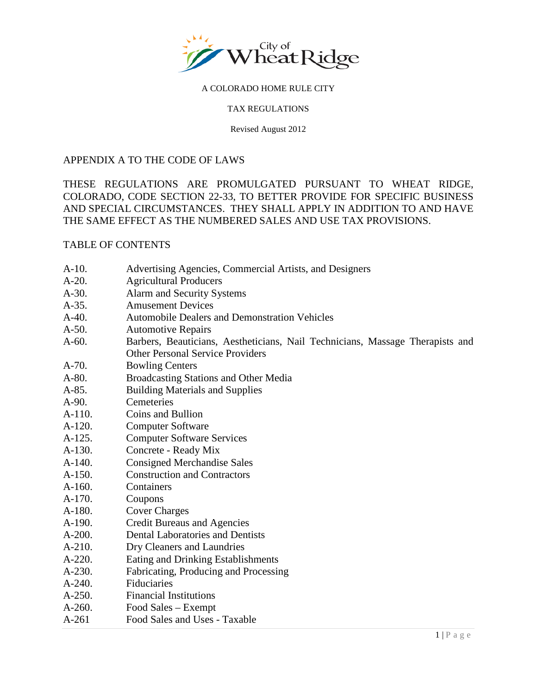

#### TAX REGULATIONS

Revised August 2012

### APPENDIX A TO THE CODE OF LAWS

THESE REGULATIONS ARE PROMULGATED PURSUANT TO WHEAT RIDGE, COLORADO, CODE SECTION 22-33, TO BETTER PROVIDE FOR SPECIFIC BUSINESS AND SPECIAL CIRCUMSTANCES. THEY SHALL APPLY IN ADDITION TO AND HAVE THE SAME EFFECT AS THE NUMBERED SALES AND USE TAX PROVISIONS.

### TABLE OF CONTENTS

- [A-10. Advertising Agencies, Commercial Artists, and Designers](#page-2-0)
- [A-20. Agricultural Producers](#page-2-0)
- [A-30. Alarm and Security Systems](#page-3-0)
- [A-35. Amusement](#page-4-0) Devices
- [A-40. Automobile Dealers and Demonstration Vehicles](#page-5-0)
- [A-50. Automotive Repairs](#page-5-0)
- [A-60. Barbers, Beauticians, Aestheticians, Nail Technicians, Massage Therapists and](#page-6-0)  Other Personal Service Providers
- [A-70. Bowling Centers](#page-7-0)
- [A-80. Broadcasting Stations and](#page-7-0) Other Media
- [A-85. Building Materials and Supplies](#page-7-0)
- [A-90. Cemeteries](#page-8-0)
- [A-110. Coins and Bullion](#page-8-0)
- [A-120. Computer Software](#page-9-0)
- [A-125. Computer Software Services](#page-9-0)
- [A-130. Concrete Ready Mix](#page-10-0)
- [A-140. Consigned Merchandise Sales](#page-10-0)
- [A-150. Construction and Contractors](#page-10-0)
- [A-160. Containers](#page-11-0)
- [A-170. Coupons](#page-12-0)
- [A-180. Cover Charges](#page-12-0)
- [A-190. Credit Bureaus and Agencies](#page-12-0)
- [A-200. Dental Laboratories and Dentists](#page-13-0)
- [A-210. Dry Cleaners and Laundries](#page-13-0)
- [A-220. Eating and Drinking Establishments](#page-14-0)
- [A-230. Fabricating, Producing and Processing](#page-15-0)
- [A-240. Fiduciaries](#page-15-0)
- [A-250. Financial Institutions](#page-15-0)
- [A-260. Food Sales Exempt](#page-16-0)
- [A-261 Food Sales and Uses Taxable](#page-18-0)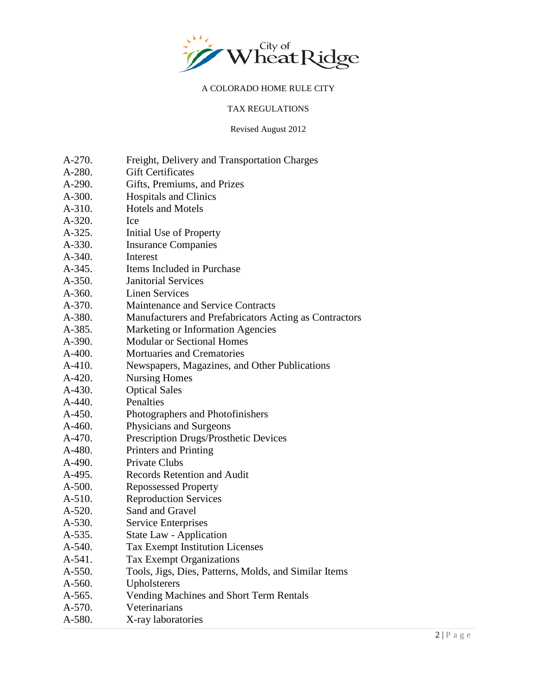

#### TAX REGULATIONS

Revised August 2012

- [A-270. Freight, Delivery](#page-18-0) and Transportation Charges
- A-280. Gift Certificates
- [A-290. Gifts, Premiums, and Prizes](#page-19-0)
- [A-300. Hospitals and Clinics](#page-19-0)
- [A-310. Hotels and Motels](#page-20-0)
- [A-320. Ice](#page-20-0)
- [A-325. Initial Use of Property](#page-20-0)
- [A-330. Insurance Companies](#page-20-0)
- [A-340. Interest](#page-21-0)
- [A-345. Items Included in Purchase](#page-21-0)
- [A-350. Janitorial Services](#page-22-0)
- [A-360. Linen Services](#page-22-0)
- [A-370. Maintenance and Service Contracts](#page-22-0)
- [A-380. Manufacturers and Prefabricators Acting as Contractors](#page-23-0)
- A-385. Marketing or Information Agencies
- A-390. Modular or Sectional Homes
- A-400. Mortuaries and Crematories
- A-410. Newspapers, Magazines, and Other Publications
- A-420. Nursing Homes
- A-430. Optical Sales
- A-440. Penalties
- A-450. Photographers and Photofinishers
- A-460. Physicians and Surgeons
- A-470. Prescription Drugs/Prosthetic Devices
- A-480. Printers and Printing
- A-490. Private Clubs
- A-495. Records Retention and Audit
- A-500. Repossessed Property
- A-510. Reproduction Services
- A-520. Sand and Gravel
- A-530. Service Enterprises
- A-535. State Law Application
- A-540. Tax Exempt Institution Licenses
- A-541. Tax Exempt Organizations
- A-550. Tools, Jigs, Dies, Patterns, Molds, and Similar Items
- A-560. Upholsterers
- A-565. Vending Machines and Short Term Rentals
- A-570. Veterinarians
- A-580. X-ray laboratories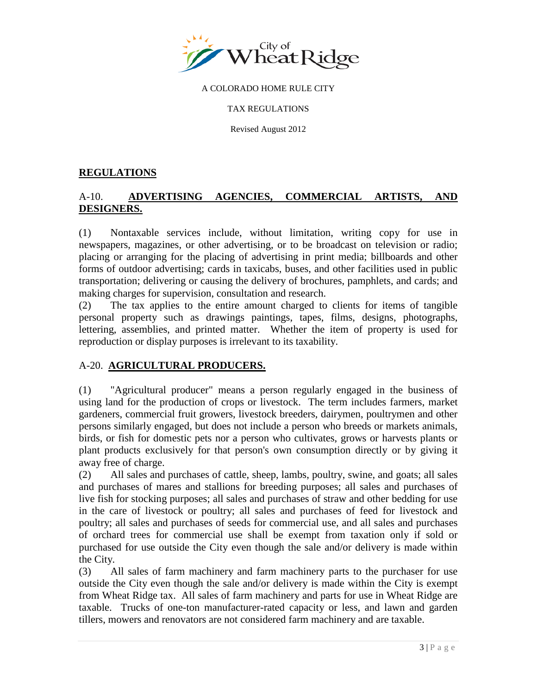<span id="page-2-0"></span>

TAX REGULATIONS

Revised August 2012

## **REGULATIONS**

# A-10. **ADVERTISING AGENCIES, COMMERCIAL ARTISTS, AND DESIGNERS.**

(1) Nontaxable services include, without limitation, writing copy for use in newspapers, magazines, or other advertising, or to be broadcast on television or radio; placing or arranging for the placing of advertising in print media; billboards and other forms of outdoor advertising; cards in taxicabs, buses, and other facilities used in public transportation; delivering or causing the delivery of brochures, pamphlets, and cards; and making charges for supervision, consultation and research.

(2) The tax applies to the entire amount charged to clients for items of tangible personal property such as drawings paintings, tapes, films, designs, photographs, lettering, assemblies, and printed matter. Whether the item of property is used for reproduction or display purposes is irrelevant to its taxability.

## A-20. **AGRICULTURAL PRODUCERS.**

(1) "Agricultural producer" means a person regularly engaged in the business of using land for the production of crops or livestock. The term includes farmers, market gardeners, commercial fruit growers, livestock breeders, dairymen, poultrymen and other persons similarly engaged, but does not include a person who breeds or markets animals, birds, or fish for domestic pets nor a person who cultivates, grows or harvests plants or plant products exclusively for that person's own consumption directly or by giving it away free of charge.

(2) All sales and purchases of cattle, sheep, lambs, poultry, swine, and goats; all sales and purchases of mares and stallions for breeding purposes; all sales and purchases of live fish for stocking purposes; all sales and purchases of straw and other bedding for use in the care of livestock or poultry; all sales and purchases of feed for livestock and poultry; all sales and purchases of seeds for commercial use, and all sales and purchases of orchard trees for commercial use shall be exempt from taxation only if sold or purchased for use outside the City even though the sale and/or delivery is made within the City.

(3) All sales of farm machinery and farm machinery parts to the purchaser for use outside the City even though the sale and/or delivery is made within the City is exempt from Wheat Ridge tax. All sales of farm machinery and parts for use in Wheat Ridge are taxable. Trucks of one-ton manufacturer-rated capacity or less, and lawn and garden tillers, mowers and renovators are not considered farm machinery and are taxable.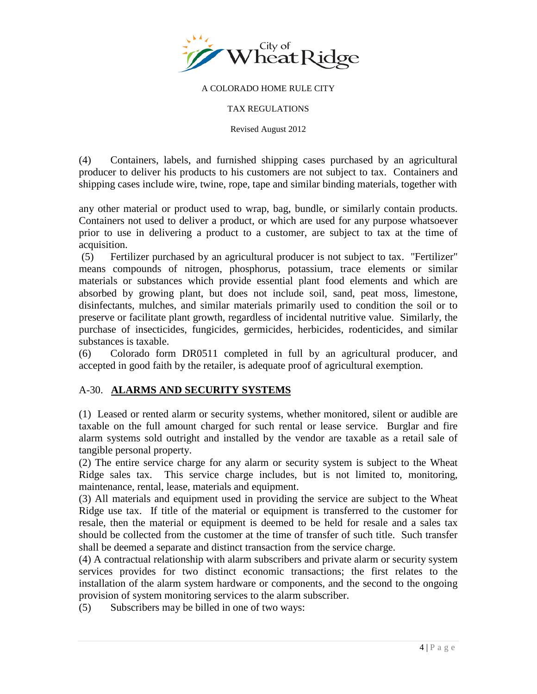<span id="page-3-0"></span>

#### TAX REGULATIONS

Revised August 2012

(4) Containers, labels, and furnished shipping cases purchased by an agricultural producer to deliver his products to his customers are not subject to tax. Containers and shipping cases include wire, twine, rope, tape and similar binding materials, together with

any other material or product used to wrap, bag, bundle, or similarly contain products. Containers not used to deliver a product, or which are used for any purpose whatsoever prior to use in delivering a product to a customer, are subject to tax at the time of acquisition.

(5) Fertilizer purchased by an agricultural producer is not subject to tax. "Fertilizer" means compounds of nitrogen, phosphorus, potassium, trace elements or similar materials or substances which provide essential plant food elements and which are absorbed by growing plant, but does not include soil, sand, peat moss, limestone, disinfectants, mulches, and similar materials primarily used to condition the soil or to preserve or facilitate plant growth, regardless of incidental nutritive value. Similarly, the purchase of insecticides, fungicides, germicides, herbicides, rodenticides, and similar substances is taxable.

(6) Colorado form DR0511 completed in full by an agricultural producer, and accepted in good faith by the retailer, is adequate proof of agricultural exemption.

## A-30. **ALARMS AND SECURITY SYSTEMS**

(1) Leased or rented alarm or security systems, whether monitored, silent or audible are taxable on the full amount charged for such rental or lease service. Burglar and fire alarm systems sold outright and installed by the vendor are taxable as a retail sale of tangible personal property.

(2) The entire service charge for any alarm or security system is subject to the Wheat Ridge sales tax. This service charge includes, but is not limited to, monitoring, maintenance, rental, lease, materials and equipment.

(3) All materials and equipment used in providing the service are subject to the Wheat Ridge use tax. If title of the material or equipment is transferred to the customer for resale, then the material or equipment is deemed to be held for resale and a sales tax should be collected from the customer at the time of transfer of such title. Such transfer shall be deemed a separate and distinct transaction from the service charge.

(4) A contractual relationship with alarm subscribers and private alarm or security system services provides for two distinct economic transactions; the first relates to the installation of the alarm system hardware or components, and the second to the ongoing provision of system monitoring services to the alarm subscriber.

(5) Subscribers may be billed in one of two ways: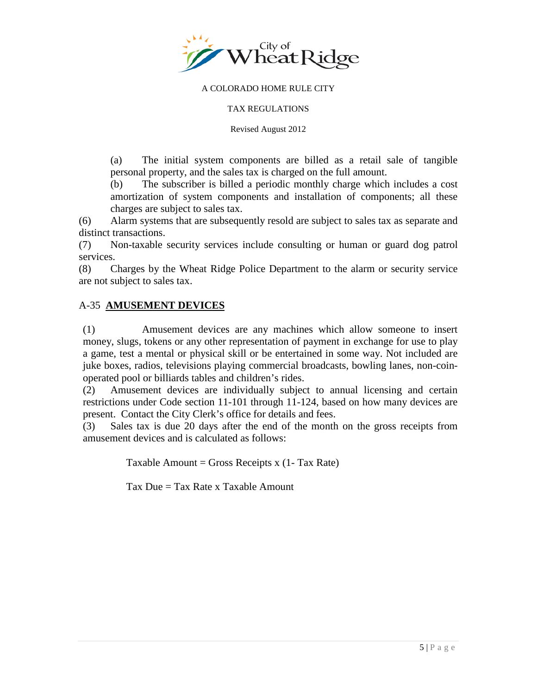<span id="page-4-0"></span>

#### TAX REGULATIONS

Revised August 2012

(a) The initial system components are billed as a retail sale of tangible personal property, and the sales tax is charged on the full amount.

(b) The subscriber is billed a periodic monthly charge which includes a cost amortization of system components and installation of components; all these charges are subject to sales tax.

(6) Alarm systems that are subsequently resold are subject to sales tax as separate and distinct transactions.

(7) Non-taxable security services include consulting or human or guard dog patrol services.

(8) Charges by the Wheat Ridge Police Department to the alarm or security service are not subject to sales tax.

### A-35 **AMUSEMENT DEVICES**

(1) Amusement devices are any machines which allow someone to insert money, slugs, tokens or any other representation of payment in exchange for use to play a game, test a mental or physical skill or be entertained in some way. Not included are juke boxes, radios, televisions playing commercial broadcasts, bowling lanes, non-coinoperated pool or billiards tables and children's rides.

(2) Amusement devices are individually subject to annual licensing and certain restrictions under Code section 11-101 through 11-124, based on how many devices are present. Contact the City Clerk's office for details and fees.

(3) Sales tax is due 20 days after the end of the month on the gross receipts from amusement devices and is calculated as follows:

Taxable Amount = Gross Receipts  $x(1-Tax Rate)$ 

Tax Due = Tax Rate x Taxable Amount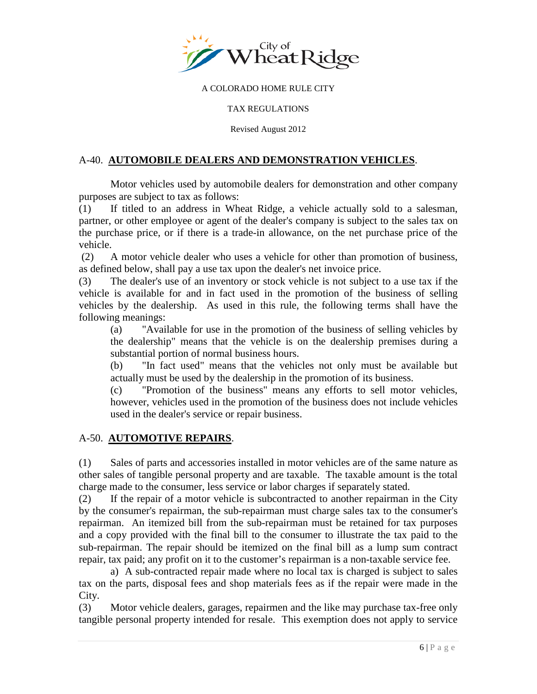<span id="page-5-0"></span>

#### TAX REGULATIONS

Revised August 2012

### A-40. **AUTOMOBILE DEALERS AND DEMONSTRATION VEHICLES**.

Motor vehicles used by automobile dealers for demonstration and other company purposes are subject to tax as follows:

(1) If titled to an address in Wheat Ridge, a vehicle actually sold to a salesman, partner, or other employee or agent of the dealer's company is subject to the sales tax on the purchase price, or if there is a trade-in allowance, on the net purchase price of the vehicle.

(2) A motor vehicle dealer who uses a vehicle for other than promotion of business, as defined below, shall pay a use tax upon the dealer's net invoice price.

(3) The dealer's use of an inventory or stock vehicle is not subject to a use tax if the vehicle is available for and in fact used in the promotion of the business of selling vehicles by the dealership. As used in this rule, the following terms shall have the following meanings:

(a) "Available for use in the promotion of the business of selling vehicles by the dealership" means that the vehicle is on the dealership premises during a substantial portion of normal business hours.

(b) "In fact used" means that the vehicles not only must be available but actually must be used by the dealership in the promotion of its business.

(c) "Promotion of the business" means any efforts to sell motor vehicles, however, vehicles used in the promotion of the business does not include vehicles used in the dealer's service or repair business.

### A-50. **AUTOMOTIVE REPAIRS**.

(1) Sales of parts and accessories installed in motor vehicles are of the same nature as other sales of tangible personal property and are taxable. The taxable amount is the total charge made to the consumer, less service or labor charges if separately stated.

(2) If the repair of a motor vehicle is subcontracted to another repairman in the City by the consumer's repairman, the sub-repairman must charge sales tax to the consumer's repairman. An itemized bill from the sub-repairman must be retained for tax purposes and a copy provided with the final bill to the consumer to illustrate the tax paid to the sub-repairman. The repair should be itemized on the final bill as a lump sum contract repair, tax paid; any profit on it to the customer's repairman is a non-taxable service fee.

a) A sub-contracted repair made where no local tax is charged is subject to sales tax on the parts, disposal fees and shop materials fees as if the repair were made in the City.

(3) Motor vehicle dealers, garages, repairmen and the like may purchase tax-free only tangible personal property intended for resale. This exemption does not apply to service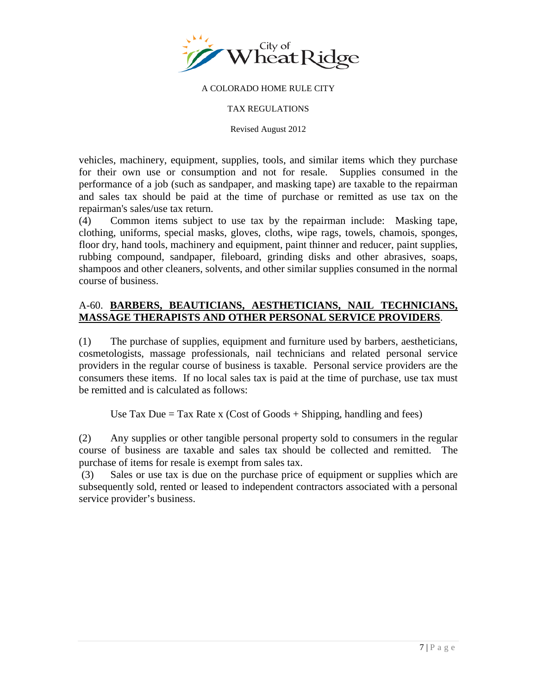<span id="page-6-0"></span>

#### TAX REGULATIONS

Revised August 2012

vehicles, machinery, equipment, supplies, tools, and similar items which they purchase for their own use or consumption and not for resale. Supplies consumed in the performance of a job (such as sandpaper, and masking tape) are taxable to the repairman and sales tax should be paid at the time of purchase or remitted as use tax on the repairman's sales/use tax return.

(4) Common items subject to use tax by the repairman include: Masking tape, clothing, uniforms, special masks, gloves, cloths, wipe rags, towels, chamois, sponges, floor dry, hand tools, machinery and equipment, paint thinner and reducer, paint supplies, rubbing compound, sandpaper, fileboard, grinding disks and other abrasives, soaps, shampoos and other cleaners, solvents, and other similar supplies consumed in the normal course of business.

## A-60. **BARBERS, BEAUTICIANS, AESTHETICIANS, NAIL TECHNICIANS, MASSAGE THERAPISTS AND OTHER PERSONAL SERVICE PROVIDERS**.

(1) The purchase of supplies, equipment and furniture used by barbers, aestheticians, cosmetologists, massage professionals, nail technicians and related personal service providers in the regular course of business is taxable. Personal service providers are the consumers these items. If no local sales tax is paid at the time of purchase, use tax must be remitted and is calculated as follows:

Use Tax Due = Tax Rate x (Cost of Goods + Shipping, handling and fees)

(2) Any supplies or other tangible personal property sold to consumers in the regular course of business are taxable and sales tax should be collected and remitted. The purchase of items for resale is exempt from sales tax.

(3) Sales or use tax is due on the purchase price of equipment or supplies which are subsequently sold, rented or leased to independent contractors associated with a personal service provider's business.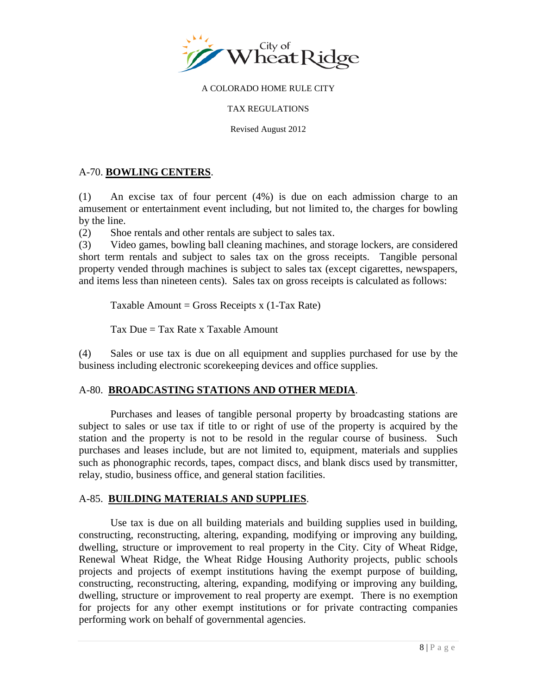<span id="page-7-0"></span>

#### TAX REGULATIONS

Revised August 2012

### A-70. **BOWLING CENTERS**.

(1) An excise tax of four percent (4%) is due on each admission charge to an amusement or entertainment event including, but not limited to, the charges for bowling by the line.

(2) Shoe rentals and other rentals are subject to sales tax.

(3) Video games, bowling ball cleaning machines, and storage lockers, are considered short term rentals and subject to sales tax on the gross receipts. Tangible personal property vended through machines is subject to sales tax (except cigarettes, newspapers, and items less than nineteen cents). Sales tax on gross receipts is calculated as follows:

Taxable Amount = Gross Receipts x  $(1-Tax Rate)$ 

Tax Due  $=$  Tax Rate x Taxable Amount

(4) Sales or use tax is due on all equipment and supplies purchased for use by the business including electronic scorekeeping devices and office supplies.

## A-80. **BROADCASTING STATIONS AND OTHER MEDIA**.

Purchases and leases of tangible personal property by broadcasting stations are subject to sales or use tax if title to or right of use of the property is acquired by the station and the property is not to be resold in the regular course of business. Such purchases and leases include, but are not limited to, equipment, materials and supplies such as phonographic records, tapes, compact discs, and blank discs used by transmitter, relay, studio, business office, and general station facilities.

### A-85. **BUILDING MATERIALS AND SUPPLIES**.

 Use tax is due on all building materials and building supplies used in building, constructing, reconstructing, altering, expanding, modifying or improving any building, dwelling, structure or improvement to real property in the City. City of Wheat Ridge, Renewal Wheat Ridge, the Wheat Ridge Housing Authority projects, public schools projects and projects of exempt institutions having the exempt purpose of building, constructing, reconstructing, altering, expanding, modifying or improving any building, dwelling, structure or improvement to real property are exempt. There is no exemption for projects for any other exempt institutions or for private contracting companies performing work on behalf of governmental agencies.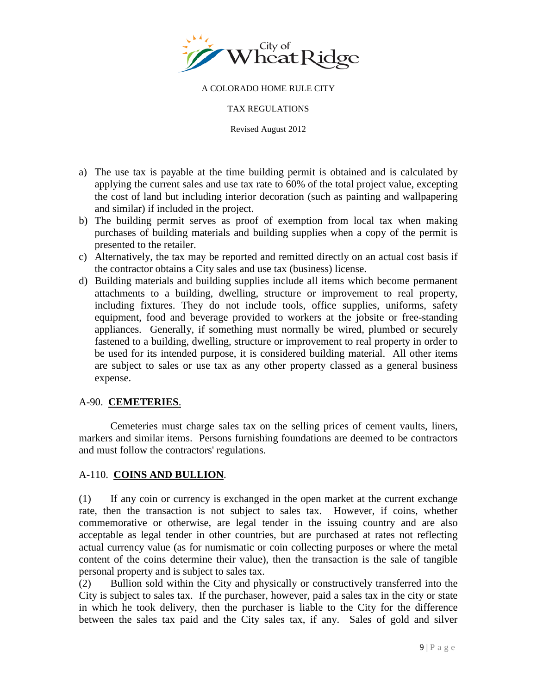<span id="page-8-0"></span>

TAX REGULATIONS

Revised August 2012

- a) The use tax is payable at the time building permit is obtained and is calculated by applying the current sales and use tax rate to 60% of the total project value, excepting the cost of land but including interior decoration (such as painting and wallpapering and similar) if included in the project.
- b) The building permit serves as proof of exemption from local tax when making purchases of building materials and building supplies when a copy of the permit is presented to the retailer.
- c) Alternatively, the tax may be reported and remitted directly on an actual cost basis if the contractor obtains a City sales and use tax (business) license.
- d) Building materials and building supplies include all items which become permanent attachments to a building, dwelling, structure or improvement to real property, including fixtures. They do not include tools, office supplies, uniforms, safety equipment, food and beverage provided to workers at the jobsite or free-standing appliances. Generally, if something must normally be wired, plumbed or securely fastened to a building, dwelling, structure or improvement to real property in order to be used for its intended purpose, it is considered building material. All other items are subject to sales or use tax as any other property classed as a general business expense.

## A-90. **CEMETERIES**.

Cemeteries must charge sales tax on the selling prices of cement vaults, liners, markers and similar items. Persons furnishing foundations are deemed to be contractors and must follow the contractors' regulations.

## A-110. **COINS AND BULLION**.

(1) If any coin or currency is exchanged in the open market at the current exchange rate, then the transaction is not subject to sales tax. However, if coins, whether commemorative or otherwise, are legal tender in the issuing country and are also acceptable as legal tender in other countries, but are purchased at rates not reflecting actual currency value (as for numismatic or coin collecting purposes or where the metal content of the coins determine their value), then the transaction is the sale of tangible personal property and is subject to sales tax.

(2) Bullion sold within the City and physically or constructively transferred into the City is subject to sales tax. If the purchaser, however, paid a sales tax in the city or state in which he took delivery, then the purchaser is liable to the City for the difference between the sales tax paid and the City sales tax, if any. Sales of gold and silver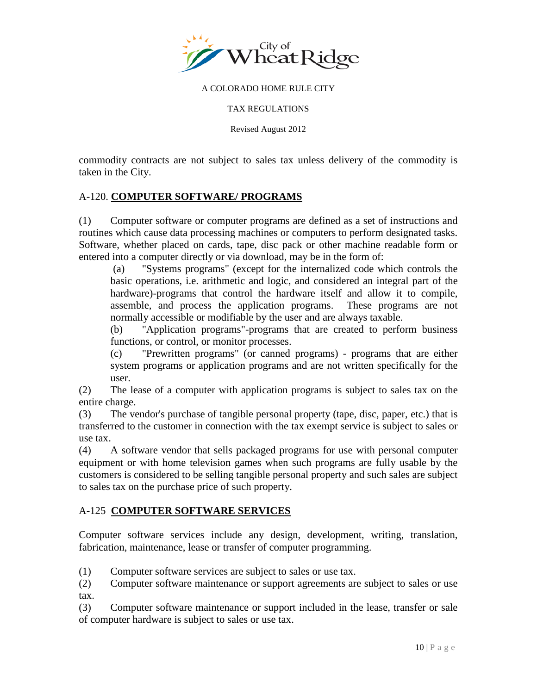<span id="page-9-0"></span>

#### TAX REGULATIONS

Revised August 2012

commodity contracts are not subject to sales tax unless delivery of the commodity is taken in the City.

## A-120. **COMPUTER SOFTWARE/ PROGRAMS**

(1) Computer software or computer programs are defined as a set of instructions and routines which cause data processing machines or computers to perform designated tasks. Software, whether placed on cards, tape, disc pack or other machine readable form or entered into a computer directly or via download, may be in the form of:

(a) "Systems programs" (except for the internalized code which controls the basic operations, i.e. arithmetic and logic, and considered an integral part of the hardware)-programs that control the hardware itself and allow it to compile, assemble, and process the application programs. These programs are not normally accessible or modifiable by the user and are always taxable.

(b) "Application programs"-programs that are created to perform business functions, or control, or monitor processes.

(c) "Prewritten programs" (or canned programs) - programs that are either system programs or application programs and are not written specifically for the user.

(2) The lease of a computer with application programs is subject to sales tax on the entire charge.

(3) The vendor's purchase of tangible personal property (tape, disc, paper, etc.) that is transferred to the customer in connection with the tax exempt service is subject to sales or use tax.

(4) A software vendor that sells packaged programs for use with personal computer equipment or with home television games when such programs are fully usable by the customers is considered to be selling tangible personal property and such sales are subject to sales tax on the purchase price of such property.

### A-125 **COMPUTER SOFTWARE SERVICES**

Computer software services include any design, development, writing, translation, fabrication, maintenance, lease or transfer of computer programming.

(1) Computer software services are subject to sales or use tax.

(2) Computer software maintenance or support agreements are subject to sales or use tax.

(3) Computer software maintenance or support included in the lease, transfer or sale of computer hardware is subject to sales or use tax.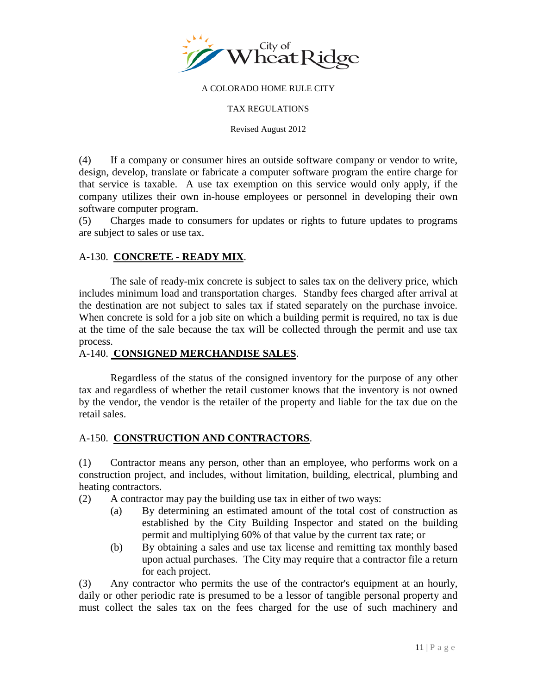<span id="page-10-0"></span>

TAX REGULATIONS

Revised August 2012

(4) If a company or consumer hires an outside software company or vendor to write, design, develop, translate or fabricate a computer software program the entire charge for that service is taxable. A use tax exemption on this service would only apply, if the company utilizes their own in-house employees or personnel in developing their own software computer program.

(5) Charges made to consumers for updates or rights to future updates to programs are subject to sales or use tax.

## A-130. **CONCRETE - READY MIX**.

The sale of ready-mix concrete is subject to sales tax on the delivery price, which includes minimum load and transportation charges. Standby fees charged after arrival at the destination are not subject to sales tax if stated separately on the purchase invoice. When concrete is sold for a job site on which a building permit is required, no tax is due at the time of the sale because the tax will be collected through the permit and use tax process.

### A-140. **CONSIGNED MERCHANDISE SALES**.

Regardless of the status of the consigned inventory for the purpose of any other tax and regardless of whether the retail customer knows that the inventory is not owned by the vendor, the vendor is the retailer of the property and liable for the tax due on the retail sales.

## A-150. **CONSTRUCTION AND CONTRACTORS**.

(1) Contractor means any person, other than an employee, who performs work on a construction project, and includes, without limitation, building, electrical, plumbing and heating contractors.

(2) A contractor may pay the building use tax in either of two ways:

- (a) By determining an estimated amount of the total cost of construction as established by the City Building Inspector and stated on the building permit and multiplying 60% of that value by the current tax rate; or
- (b) By obtaining a sales and use tax license and remitting tax monthly based upon actual purchases. The City may require that a contractor file a return for each project.

(3) Any contractor who permits the use of the contractor's equipment at an hourly, daily or other periodic rate is presumed to be a lessor of tangible personal property and must collect the sales tax on the fees charged for the use of such machinery and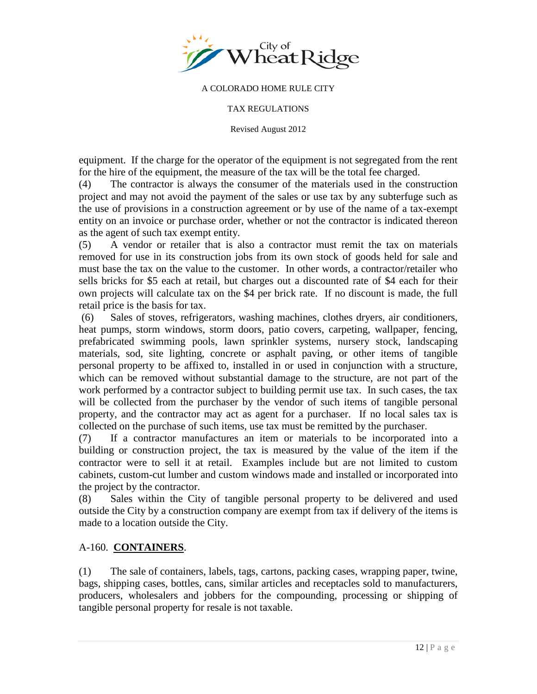<span id="page-11-0"></span>

#### TAX REGULATIONS

Revised August 2012

equipment. If the charge for the operator of the equipment is not segregated from the rent for the hire of the equipment, the measure of the tax will be the total fee charged.

(4) The contractor is always the consumer of the materials used in the construction project and may not avoid the payment of the sales or use tax by any subterfuge such as the use of provisions in a construction agreement or by use of the name of a tax-exempt entity on an invoice or purchase order, whether or not the contractor is indicated thereon as the agent of such tax exempt entity.

(5) A vendor or retailer that is also a contractor must remit the tax on materials removed for use in its construction jobs from its own stock of goods held for sale and must base the tax on the value to the customer. In other words, a contractor/retailer who sells bricks for \$5 each at retail, but charges out a discounted rate of \$4 each for their own projects will calculate tax on the \$4 per brick rate. If no discount is made, the full retail price is the basis for tax.

(6) Sales of stoves, refrigerators, washing machines, clothes dryers, air conditioners, heat pumps, storm windows, storm doors, patio covers, carpeting, wallpaper, fencing, prefabricated swimming pools, lawn sprinkler systems, nursery stock, landscaping materials, sod, site lighting, concrete or asphalt paving, or other items of tangible personal property to be affixed to, installed in or used in conjunction with a structure, which can be removed without substantial damage to the structure, are not part of the work performed by a contractor subject to building permit use tax. In such cases, the tax will be collected from the purchaser by the vendor of such items of tangible personal property, and the contractor may act as agent for a purchaser. If no local sales tax is collected on the purchase of such items, use tax must be remitted by the purchaser.

(7) If a contractor manufactures an item or materials to be incorporated into a building or construction project, the tax is measured by the value of the item if the contractor were to sell it at retail. Examples include but are not limited to custom cabinets, custom-cut lumber and custom windows made and installed or incorporated into the project by the contractor.

(8) Sales within the City of tangible personal property to be delivered and used outside the City by a construction company are exempt from tax if delivery of the items is made to a location outside the City.

## A-160. **CONTAINERS**.

(1) The sale of containers, labels, tags, cartons, packing cases, wrapping paper, twine, bags, shipping cases, bottles, cans, similar articles and receptacles sold to manufacturers, producers, wholesalers and jobbers for the compounding, processing or shipping of tangible personal property for resale is not taxable.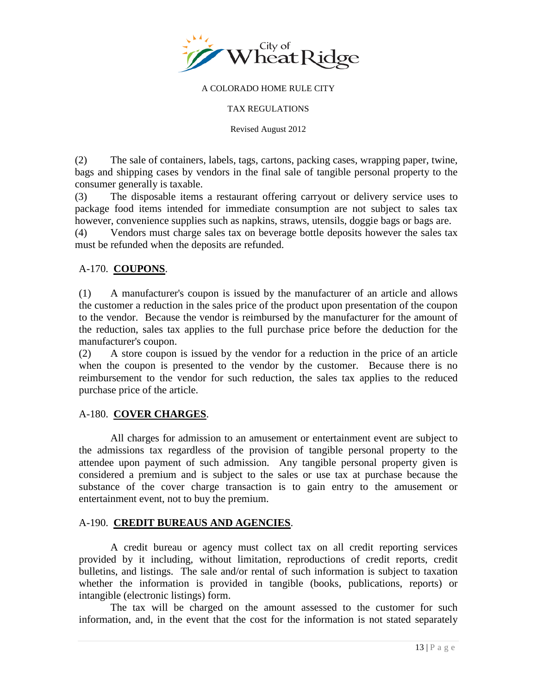<span id="page-12-0"></span>

#### TAX REGULATIONS

Revised August 2012

(2) The sale of containers, labels, tags, cartons, packing cases, wrapping paper, twine, bags and shipping cases by vendors in the final sale of tangible personal property to the consumer generally is taxable.

(3) The disposable items a restaurant offering carryout or delivery service uses to package food items intended for immediate consumption are not subject to sales tax however, convenience supplies such as napkins, straws, utensils, doggie bags or bags are.

(4) Vendors must charge sales tax on beverage bottle deposits however the sales tax must be refunded when the deposits are refunded.

### A-170. **COUPONS**.

(1) A manufacturer's coupon is issued by the manufacturer of an article and allows the customer a reduction in the sales price of the product upon presentation of the coupon to the vendor. Because the vendor is reimbursed by the manufacturer for the amount of the reduction, sales tax applies to the full purchase price before the deduction for the manufacturer's coupon.

(2) A store coupon is issued by the vendor for a reduction in the price of an article when the coupon is presented to the vendor by the customer. Because there is no reimbursement to the vendor for such reduction, the sales tax applies to the reduced purchase price of the article.

### A-180. **COVER CHARGES**.

All charges for admission to an amusement or entertainment event are subject to the admissions tax regardless of the provision of tangible personal property to the attendee upon payment of such admission. Any tangible personal property given is considered a premium and is subject to the sales or use tax at purchase because the substance of the cover charge transaction is to gain entry to the amusement or entertainment event, not to buy the premium.

### A-190. **CREDIT BUREAUS AND AGENCIES**.

A credit bureau or agency must collect tax on all credit reporting services provided by it including, without limitation, reproductions of credit reports, credit bulletins, and listings. The sale and/or rental of such information is subject to taxation whether the information is provided in tangible (books, publications, reports) or intangible (electronic listings) form.

The tax will be charged on the amount assessed to the customer for such information, and, in the event that the cost for the information is not stated separately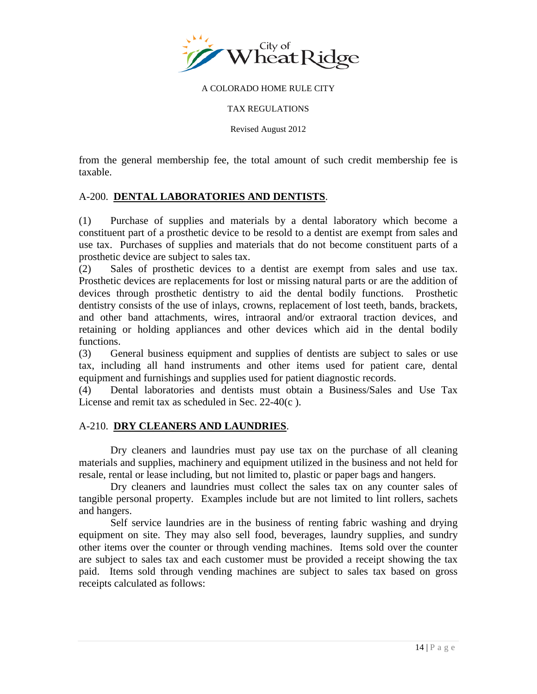<span id="page-13-0"></span>

#### TAX REGULATIONS

Revised August 2012

from the general membership fee, the total amount of such credit membership fee is taxable.

## A-200. **DENTAL LABORATORIES AND DENTISTS**.

(1) Purchase of supplies and materials by a dental laboratory which become a constituent part of a prosthetic device to be resold to a dentist are exempt from sales and use tax. Purchases of supplies and materials that do not become constituent parts of a prosthetic device are subject to sales tax.

(2) Sales of prosthetic devices to a dentist are exempt from sales and use tax. Prosthetic devices are replacements for lost or missing natural parts or are the addition of devices through prosthetic dentistry to aid the dental bodily functions. Prosthetic dentistry consists of the use of inlays, crowns, replacement of lost teeth, bands, brackets, and other band attachments, wires, intraoral and/or extraoral traction devices, and retaining or holding appliances and other devices which aid in the dental bodily functions.

(3) General business equipment and supplies of dentists are subject to sales or use tax, including all hand instruments and other items used for patient care, dental equipment and furnishings and supplies used for patient diagnostic records.

(4) Dental laboratories and dentists must obtain a Business/Sales and Use Tax License and remit tax as scheduled in Sec. 22-40(c ).

### A-210. **DRY CLEANERS AND LAUNDRIES**.

Dry cleaners and laundries must pay use tax on the purchase of all cleaning materials and supplies, machinery and equipment utilized in the business and not held for resale, rental or lease including, but not limited to, plastic or paper bags and hangers.

Dry cleaners and laundries must collect the sales tax on any counter sales of tangible personal property. Examples include but are not limited to lint rollers, sachets and hangers.

Self service laundries are in the business of renting fabric washing and drying equipment on site. They may also sell food, beverages, laundry supplies, and sundry other items over the counter or through vending machines. Items sold over the counter are subject to sales tax and each customer must be provided a receipt showing the tax paid. Items sold through vending machines are subject to sales tax based on gross receipts calculated as follows: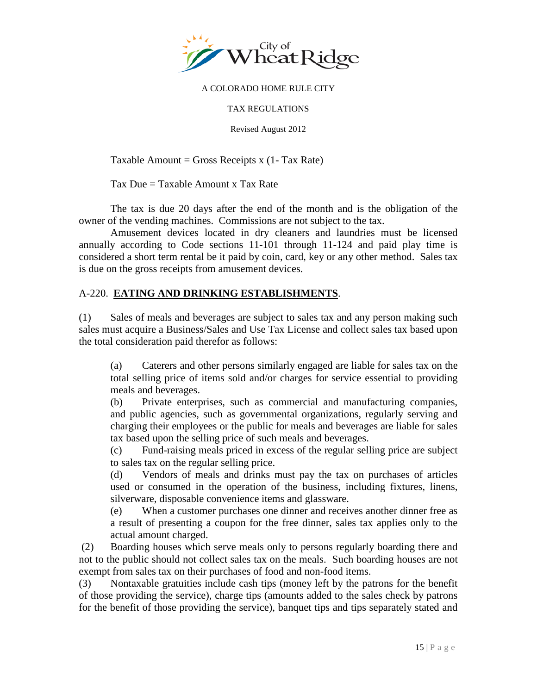<span id="page-14-0"></span>

TAX REGULATIONS

Revised August 2012

Taxable Amount = Gross Receipts  $x(1 - Tax Rate)$ 

Tax Due = Taxable Amount x Tax Rate

The tax is due 20 days after the end of the month and is the obligation of the owner of the vending machines. Commissions are not subject to the tax.

Amusement devices located in dry cleaners and laundries must be licensed annually according to Code sections 11-101 through 11-124 and paid play time is considered a short term rental be it paid by coin, card, key or any other method. Sales tax is due on the gross receipts from amusement devices.

## A-220. **EATING AND DRINKING ESTABLISHMENTS**.

(1) Sales of meals and beverages are subject to sales tax and any person making such sales must acquire a Business/Sales and Use Tax License and collect sales tax based upon the total consideration paid therefor as follows:

(a) Caterers and other persons similarly engaged are liable for sales tax on the total selling price of items sold and/or charges for service essential to providing meals and beverages.

(b) Private enterprises, such as commercial and manufacturing companies, and public agencies, such as governmental organizations, regularly serving and charging their employees or the public for meals and beverages are liable for sales tax based upon the selling price of such meals and beverages.

(c) Fund-raising meals priced in excess of the regular selling price are subject to sales tax on the regular selling price.

(d) Vendors of meals and drinks must pay the tax on purchases of articles used or consumed in the operation of the business, including fixtures, linens, silverware, disposable convenience items and glassware.

(e) When a customer purchases one dinner and receives another dinner free as a result of presenting a coupon for the free dinner, sales tax applies only to the actual amount charged.

(2) Boarding houses which serve meals only to persons regularly boarding there and not to the public should not collect sales tax on the meals. Such boarding houses are not exempt from sales tax on their purchases of food and non-food items.

(3) Nontaxable gratuities include cash tips (money left by the patrons for the benefit of those providing the service), charge tips (amounts added to the sales check by patrons for the benefit of those providing the service), banquet tips and tips separately stated and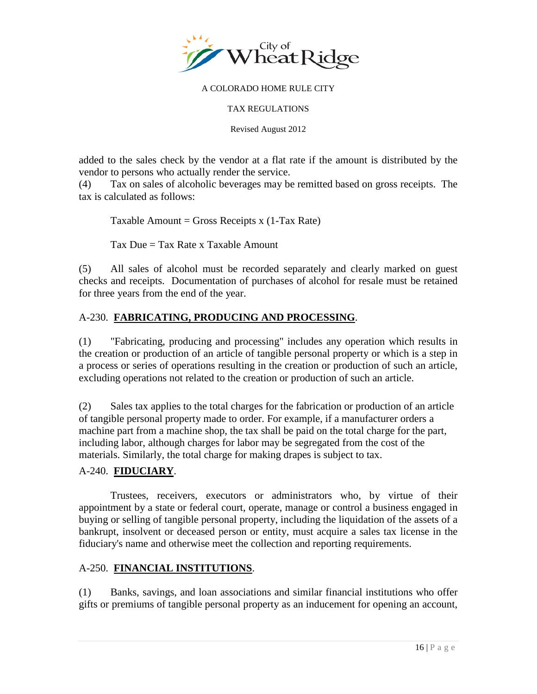<span id="page-15-0"></span>

TAX REGULATIONS

Revised August 2012

added to the sales check by the vendor at a flat rate if the amount is distributed by the vendor to persons who actually render the service.

(4) Tax on sales of alcoholic beverages may be remitted based on gross receipts. The tax is calculated as follows:

Taxable Amount = Gross Receipts x  $(1-Tax Rate)$ 

Tax  $Due = Tax Rate \times Taxable$  Amount

(5) All sales of alcohol must be recorded separately and clearly marked on guest checks and receipts. Documentation of purchases of alcohol for resale must be retained for three years from the end of the year.

## A-230. **FABRICATING, PRODUCING AND PROCESSING**.

(1) "Fabricating, producing and processing" includes any operation which results in the creation or production of an article of tangible personal property or which is a step in a process or series of operations resulting in the creation or production of such an article, excluding operations not related to the creation or production of such an article.

(2) Sales tax applies to the total charges for the fabrication or production of an article of tangible personal property made to order. For example, if a manufacturer orders a machine part from a machine shop, the tax shall be paid on the total charge for the part, including labor, although charges for labor may be segregated from the cost of the materials. Similarly, the total charge for making drapes is subject to tax.

## A-240. **FIDUCIARY**.

Trustees, receivers, executors or administrators who, by virtue of their appointment by a state or federal court, operate, manage or control a business engaged in buying or selling of tangible personal property, including the liquidation of the assets of a bankrupt, insolvent or deceased person or entity, must acquire a sales tax license in the fiduciary's name and otherwise meet the collection and reporting requirements.

## A-250. **FINANCIAL INSTITUTIONS**.

(1) Banks, savings, and loan associations and similar financial institutions who offer gifts or premiums of tangible personal property as an inducement for opening an account,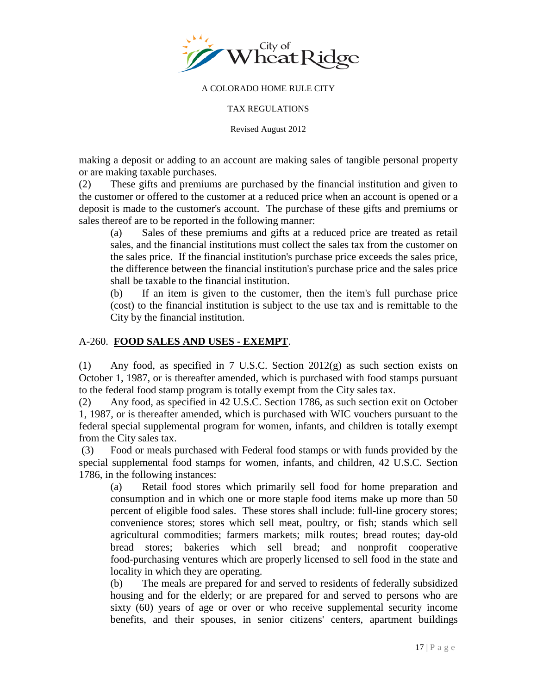<span id="page-16-0"></span>

TAX REGULATIONS

Revised August 2012

making a deposit or adding to an account are making sales of tangible personal property or are making taxable purchases.

(2) These gifts and premiums are purchased by the financial institution and given to the customer or offered to the customer at a reduced price when an account is opened or a deposit is made to the customer's account. The purchase of these gifts and premiums or sales thereof are to be reported in the following manner:

(a) Sales of these premiums and gifts at a reduced price are treated as retail sales, and the financial institutions must collect the sales tax from the customer on the sales price. If the financial institution's purchase price exceeds the sales price, the difference between the financial institution's purchase price and the sales price shall be taxable to the financial institution.

(b) If an item is given to the customer, then the item's full purchase price (cost) to the financial institution is subject to the use tax and is remittable to the City by the financial institution.

## A-260. **FOOD SALES AND USES - EXEMPT**.

(1) Any food, as specified in 7 U.S.C. Section 2012(g) as such section exists on October 1, 1987, or is thereafter amended, which is purchased with food stamps pursuant to the federal food stamp program is totally exempt from the City sales tax.

(2) Any food, as specified in 42 U.S.C. Section 1786, as such section exit on October 1, 1987, or is thereafter amended, which is purchased with WIC vouchers pursuant to the federal special supplemental program for women, infants, and children is totally exempt from the City sales tax.

(3) Food or meals purchased with Federal food stamps or with funds provided by the special supplemental food stamps for women, infants, and children, 42 U.S.C. Section 1786, in the following instances:

(a) Retail food stores which primarily sell food for home preparation and consumption and in which one or more staple food items make up more than 50 percent of eligible food sales. These stores shall include: full-line grocery stores; convenience stores; stores which sell meat, poultry, or fish; stands which sell agricultural commodities; farmers markets; milk routes; bread routes; day-old bread stores; bakeries which sell bread; and nonprofit cooperative food-purchasing ventures which are properly licensed to sell food in the state and locality in which they are operating.

(b) The meals are prepared for and served to residents of federally subsidized housing and for the elderly; or are prepared for and served to persons who are sixty (60) years of age or over or who receive supplemental security income benefits, and their spouses, in senior citizens' centers, apartment buildings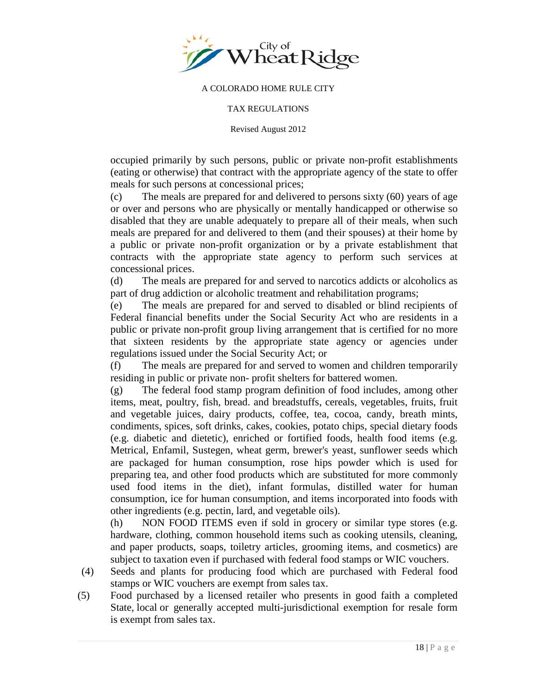

#### TAX REGULATIONS

Revised August 2012

occupied primarily by such persons, public or private non-profit establishments (eating or otherwise) that contract with the appropriate agency of the state to offer meals for such persons at concessional prices;

(c) The meals are prepared for and delivered to persons sixty (60) years of age or over and persons who are physically or mentally handicapped or otherwise so disabled that they are unable adequately to prepare all of their meals, when such meals are prepared for and delivered to them (and their spouses) at their home by a public or private non-profit organization or by a private establishment that contracts with the appropriate state agency to perform such services at concessional prices.

(d) The meals are prepared for and served to narcotics addicts or alcoholics as part of drug addiction or alcoholic treatment and rehabilitation programs;

(e) The meals are prepared for and served to disabled or blind recipients of Federal financial benefits under the Social Security Act who are residents in a public or private non-profit group living arrangement that is certified for no more that sixteen residents by the appropriate state agency or agencies under regulations issued under the Social Security Act; or

(f) The meals are prepared for and served to women and children temporarily residing in public or private non- profit shelters for battered women.

(g) The federal food stamp program definition of food includes, among other items, meat, poultry, fish, bread. and breadstuffs, cereals, vegetables, fruits, fruit and vegetable juices, dairy products, coffee, tea, cocoa, candy, breath mints, condiments, spices, soft drinks, cakes, cookies, potato chips, special dietary foods (e.g. diabetic and dietetic), enriched or fortified foods, health food items (e.g. Metrical, Enfamil, Sustegen, wheat germ, brewer's yeast, sunflower seeds which are packaged for human consumption, rose hips powder which is used for preparing tea, and other food products which are substituted for more commonly used food items in the diet), infant formulas, distilled water for human consumption, ice for human consumption, and items incorporated into foods with other ingredients (e.g. pectin, lard, and vegetable oils).

(h) NON FOOD ITEMS even if sold in grocery or similar type stores (e.g. hardware, clothing, common household items such as cooking utensils, cleaning, and paper products, soaps, toiletry articles, grooming items, and cosmetics) are subject to taxation even if purchased with federal food stamps or WIC vouchers.

- (4) Seeds and plants for producing food which are purchased with Federal food stamps or WIC vouchers are exempt from sales tax.
- (5) Food purchased by a licensed retailer who presents in good faith a completed State, local or generally accepted multi-jurisdictional exemption for resale form is exempt from sales tax.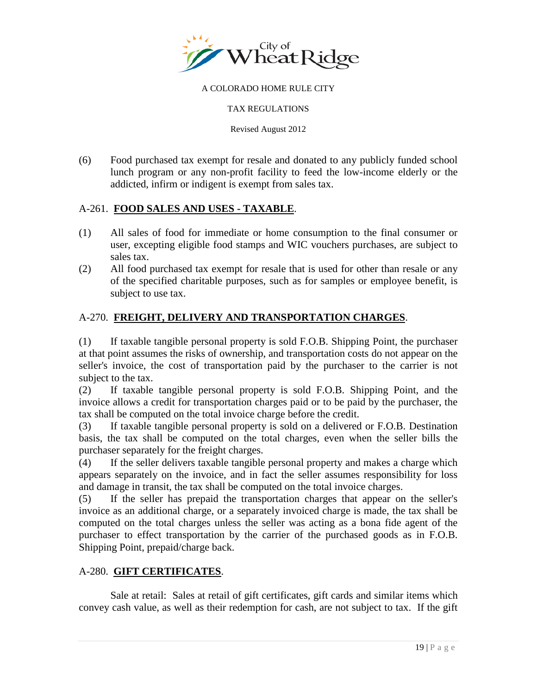<span id="page-18-0"></span>

### TAX REGULATIONS

Revised August 2012

(6) Food purchased tax exempt for resale and donated to any publicly funded school lunch program or any non-profit facility to feed the low-income elderly or the addicted, infirm or indigent is exempt from sales tax.

### A-261. **FOOD SALES AND USES - TAXABLE**.

- (1) All sales of food for immediate or home consumption to the final consumer or user, excepting eligible food stamps and WIC vouchers purchases, are subject to sales tax.
- (2) All food purchased tax exempt for resale that is used for other than resale or any of the specified charitable purposes, such as for samples or employee benefit, is subject to use tax.

## A-270. **FREIGHT, DELIVERY AND TRANSPORTATION CHARGES**.

(1) If taxable tangible personal property is sold F.O.B. Shipping Point, the purchaser at that point assumes the risks of ownership, and transportation costs do not appear on the seller's invoice, the cost of transportation paid by the purchaser to the carrier is not subject to the tax.

(2) If taxable tangible personal property is sold F.O.B. Shipping Point, and the invoice allows a credit for transportation charges paid or to be paid by the purchaser, the tax shall be computed on the total invoice charge before the credit.

(3) If taxable tangible personal property is sold on a delivered or F.O.B. Destination basis, the tax shall be computed on the total charges, even when the seller bills the purchaser separately for the freight charges.

(4) If the seller delivers taxable tangible personal property and makes a charge which appears separately on the invoice, and in fact the seller assumes responsibility for loss and damage in transit, the tax shall be computed on the total invoice charges.

(5) If the seller has prepaid the transportation charges that appear on the seller's invoice as an additional charge, or a separately invoiced charge is made, the tax shall be computed on the total charges unless the seller was acting as a bona fide agent of the purchaser to effect transportation by the carrier of the purchased goods as in F.O.B. Shipping Point, prepaid/charge back.

### A-280. **GIFT CERTIFICATES**.

Sale at retail: Sales at retail of gift certificates, gift cards and similar items which convey cash value, as well as their redemption for cash, are not subject to tax. If the gift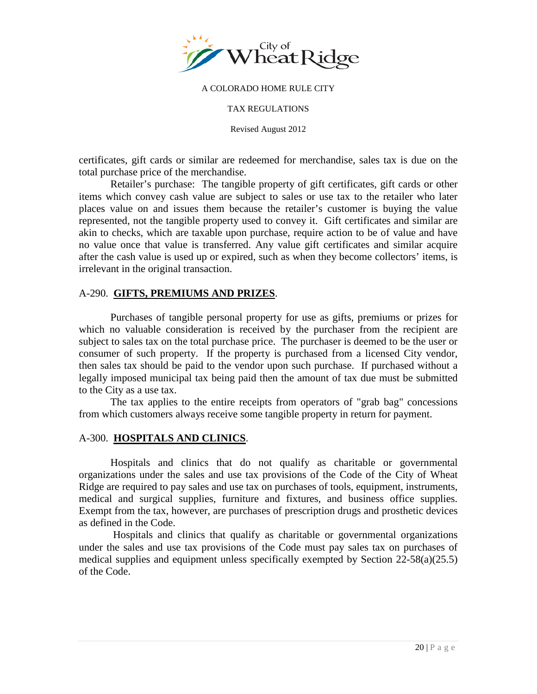<span id="page-19-0"></span>

#### TAX REGULATIONS

Revised August 2012

certificates, gift cards or similar are redeemed for merchandise, sales tax is due on the total purchase price of the merchandise.

Retailer's purchase: The tangible property of gift certificates, gift cards or other items which convey cash value are subject to sales or use tax to the retailer who later places value on and issues them because the retailer's customer is buying the value represented, not the tangible property used to convey it. Gift certificates and similar are akin to checks, which are taxable upon purchase, require action to be of value and have no value once that value is transferred. Any value gift certificates and similar acquire after the cash value is used up or expired, such as when they become collectors' items, is irrelevant in the original transaction.

### A-290. **GIFTS, PREMIUMS AND PRIZES**.

Purchases of tangible personal property for use as gifts, premiums or prizes for which no valuable consideration is received by the purchaser from the recipient are subject to sales tax on the total purchase price. The purchaser is deemed to be the user or consumer of such property. If the property is purchased from a licensed City vendor, then sales tax should be paid to the vendor upon such purchase. If purchased without a legally imposed municipal tax being paid then the amount of tax due must be submitted to the City as a use tax.

The tax applies to the entire receipts from operators of "grab bag" concessions from which customers always receive some tangible property in return for payment.

### A-300. **HOSPITALS AND CLINICS**.

Hospitals and clinics that do not qualify as charitable or governmental organizations under the sales and use tax provisions of the Code of the City of Wheat Ridge are required to pay sales and use tax on purchases of tools, equipment, instruments, medical and surgical supplies, furniture and fixtures, and business office supplies. Exempt from the tax, however, are purchases of prescription drugs and prosthetic devices as defined in the Code.

Hospitals and clinics that qualify as charitable or governmental organizations under the sales and use tax provisions of the Code must pay sales tax on purchases of medical supplies and equipment unless specifically exempted by Section 22-58(a)(25.5) of the Code.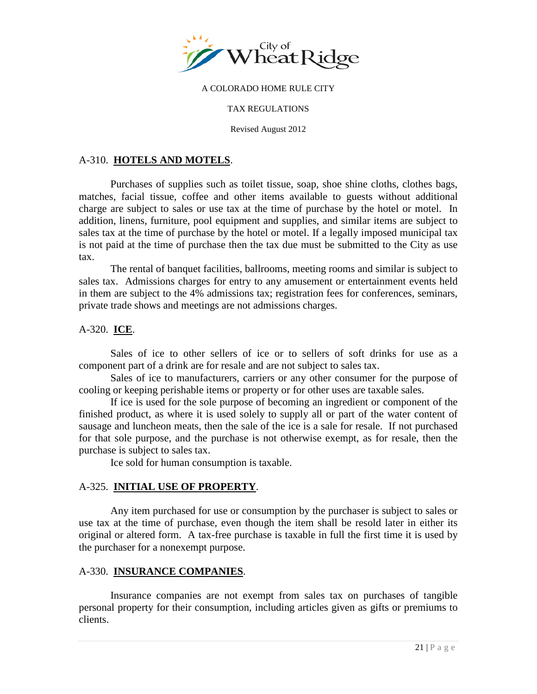<span id="page-20-0"></span>

#### TAX REGULATIONS

Revised August 2012

## A-310. **HOTELS AND MOTELS**.

Purchases of supplies such as toilet tissue, soap, shoe shine cloths, clothes bags, matches, facial tissue, coffee and other items available to guests without additional charge are subject to sales or use tax at the time of purchase by the hotel or motel. In addition, linens, furniture, pool equipment and supplies, and similar items are subject to sales tax at the time of purchase by the hotel or motel. If a legally imposed municipal tax is not paid at the time of purchase then the tax due must be submitted to the City as use tax.

The rental of banquet facilities, ballrooms, meeting rooms and similar is subject to sales tax. Admissions charges for entry to any amusement or entertainment events held in them are subject to the 4% admissions tax; registration fees for conferences, seminars, private trade shows and meetings are not admissions charges.

## A-320. **ICE**.

Sales of ice to other sellers of ice or to sellers of soft drinks for use as a component part of a drink are for resale and are not subject to sales tax.

Sales of ice to manufacturers, carriers or any other consumer for the purpose of cooling or keeping perishable items or property or for other uses are taxable sales.

If ice is used for the sole purpose of becoming an ingredient or component of the finished product, as where it is used solely to supply all or part of the water content of sausage and luncheon meats, then the sale of the ice is a sale for resale. If not purchased for that sole purpose, and the purchase is not otherwise exempt, as for resale, then the purchase is subject to sales tax.

Ice sold for human consumption is taxable.

### A-325. **INITIAL USE OF PROPERTY**.

Any item purchased for use or consumption by the purchaser is subject to sales or use tax at the time of purchase, even though the item shall be resold later in either its original or altered form. A tax-free purchase is taxable in full the first time it is used by the purchaser for a nonexempt purpose.

### A-330. **INSURANCE COMPANIES**.

Insurance companies are not exempt from sales tax on purchases of tangible personal property for their consumption, including articles given as gifts or premiums to clients.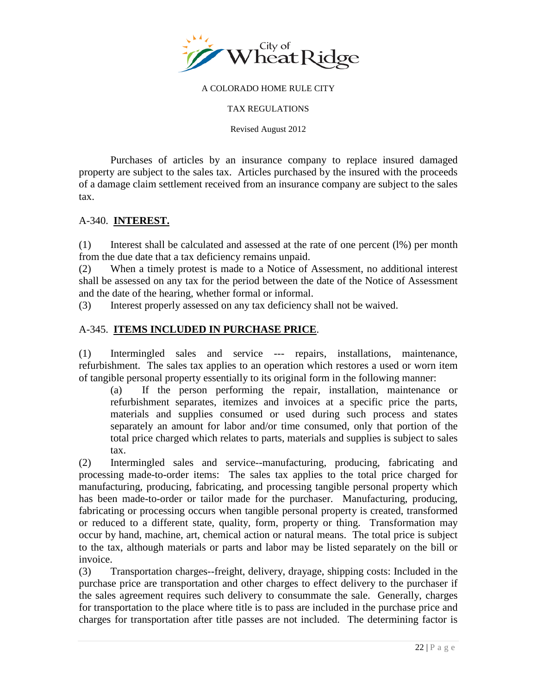<span id="page-21-0"></span>

#### TAX REGULATIONS

Revised August 2012

Purchases of articles by an insurance company to replace insured damaged property are subject to the sales tax. Articles purchased by the insured with the proceeds of a damage claim settlement received from an insurance company are subject to the sales tax.

### A-340. **INTEREST.**

(1) Interest shall be calculated and assessed at the rate of one percent (l%) per month from the due date that a tax deficiency remains unpaid.

(2) When a timely protest is made to a Notice of Assessment, no additional interest shall be assessed on any tax for the period between the date of the Notice of Assessment and the date of the hearing, whether formal or informal.

(3) Interest properly assessed on any tax deficiency shall not be waived.

## A-345. **ITEMS INCLUDED IN PURCHASE PRICE**.

(1) Intermingled sales and service --- repairs, installations, maintenance, refurbishment. The sales tax applies to an operation which restores a used or worn item of tangible personal property essentially to its original form in the following manner:

(a) If the person performing the repair, installation, maintenance or refurbishment separates, itemizes and invoices at a specific price the parts, materials and supplies consumed or used during such process and states separately an amount for labor and/or time consumed, only that portion of the total price charged which relates to parts, materials and supplies is subject to sales tax.

(2) Intermingled sales and service--manufacturing, producing, fabricating and processing made-to-order items: The sales tax applies to the total price charged for manufacturing, producing, fabricating, and processing tangible personal property which has been made-to-order or tailor made for the purchaser. Manufacturing, producing, fabricating or processing occurs when tangible personal property is created, transformed or reduced to a different state, quality, form, property or thing. Transformation may occur by hand, machine, art, chemical action or natural means. The total price is subject to the tax, although materials or parts and labor may be listed separately on the bill or invoice.

(3) Transportation charges--freight, delivery, drayage, shipping costs: Included in the purchase price are transportation and other charges to effect delivery to the purchaser if the sales agreement requires such delivery to consummate the sale. Generally, charges for transportation to the place where title is to pass are included in the purchase price and charges for transportation after title passes are not included. The determining factor is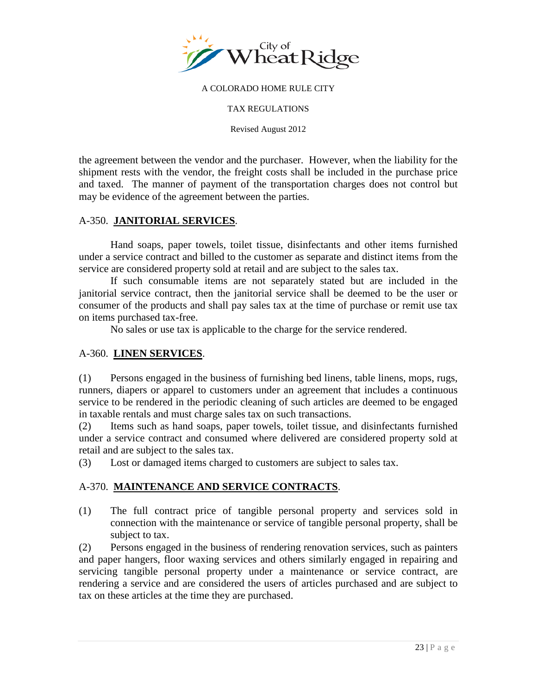<span id="page-22-0"></span>

#### TAX REGULATIONS

Revised August 2012

the agreement between the vendor and the purchaser. However, when the liability for the shipment rests with the vendor, the freight costs shall be included in the purchase price and taxed. The manner of payment of the transportation charges does not control but may be evidence of the agreement between the parties.

## A-350. **JANITORIAL SERVICES**.

Hand soaps, paper towels, toilet tissue, disinfectants and other items furnished under a service contract and billed to the customer as separate and distinct items from the service are considered property sold at retail and are subject to the sales tax.

If such consumable items are not separately stated but are included in the janitorial service contract, then the janitorial service shall be deemed to be the user or consumer of the products and shall pay sales tax at the time of purchase or remit use tax on items purchased tax-free.

No sales or use tax is applicable to the charge for the service rendered.

## A-360. **LINEN SERVICES**.

(1) Persons engaged in the business of furnishing bed linens, table linens, mops, rugs, runners, diapers or apparel to customers under an agreement that includes a continuous service to be rendered in the periodic cleaning of such articles are deemed to be engaged in taxable rentals and must charge sales tax on such transactions.

(2) Items such as hand soaps, paper towels, toilet tissue, and disinfectants furnished under a service contract and consumed where delivered are considered property sold at retail and are subject to the sales tax.

(3) Lost or damaged items charged to customers are subject to sales tax.

## A-370. **MAINTENANCE AND SERVICE CONTRACTS**.

(1) The full contract price of tangible personal property and services sold in connection with the maintenance or service of tangible personal property, shall be subject to tax.

(2) Persons engaged in the business of rendering renovation services, such as painters and paper hangers, floor waxing services and others similarly engaged in repairing and servicing tangible personal property under a maintenance or service contract, are rendering a service and are considered the users of articles purchased and are subject to tax on these articles at the time they are purchased.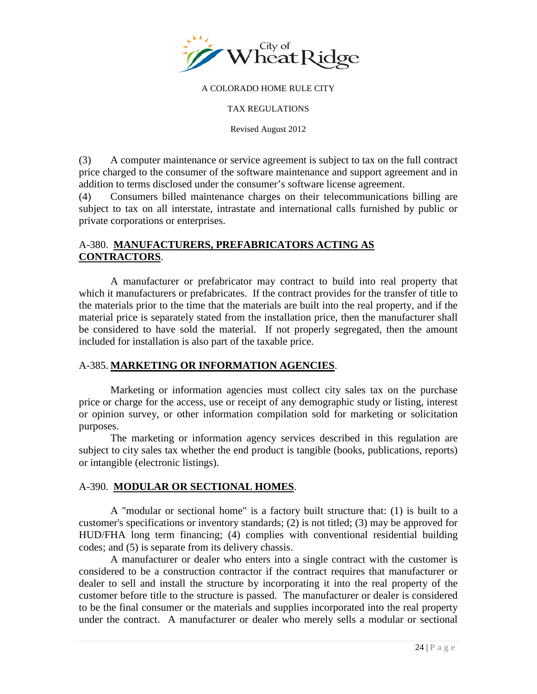<span id="page-23-0"></span>

TAX REGULATIONS

Revised August 2012

(3) A computer maintenance or service agreement is subject to tax on the full contract price charged to the consumer of the software maintenance and support agreement and in addition to terms disclosed under the consumer's software license agreement.

(4) Consumers billed maintenance charges on their telecommunications billing are subject to tax on all interstate, intrastate and international calls furnished by public or private corporations or enterprises.

## A-380. **MANUFACTURERS, PREFABRICATORS ACTING AS CONTRACTORS**.

A manufacturer or prefabricator may contract to build into real property that which it manufacturers or prefabricates. If the contract provides for the transfer of title to the materials prior to the time that the materials are built into the real property, and if the material price is separately stated from the installation price, then the manufacturer shall be considered to have sold the material. If not properly segregated, then the amount included for installation is also part of the taxable price.

## A-385. **MARKETING OR INFORMATION AGENCIES**.

Marketing or information agencies must collect city sales tax on the purchase price or charge for the access, use or receipt of any demographic study or listing, interest or opinion survey, or other information compilation sold for marketing or solicitation purposes.

The marketing or information agency services described in this regulation are subject to city sales tax whether the end product is tangible (books, publications, reports) or intangible (electronic listings).

## A-390. **MODULAR OR SECTIONAL HOMES**.

A "modular or sectional home" is a factory built structure that: (1) is built to a customer's specifications or inventory standards; (2) is not titled; (3) may be approved for HUD/FHA long term financing; (4) complies with conventional residential building codes; and (5) is separate from its delivery chassis.

A manufacturer or dealer who enters into a single contract with the customer is considered to be a construction contractor if the contract requires that manufacturer or dealer to sell and install the structure by incorporating it into the real property of the customer before title to the structure is passed. The manufacturer or dealer is considered to be the final consumer or the materials and supplies incorporated into the real property under the contract. A manufacturer or dealer who merely sells a modular or sectional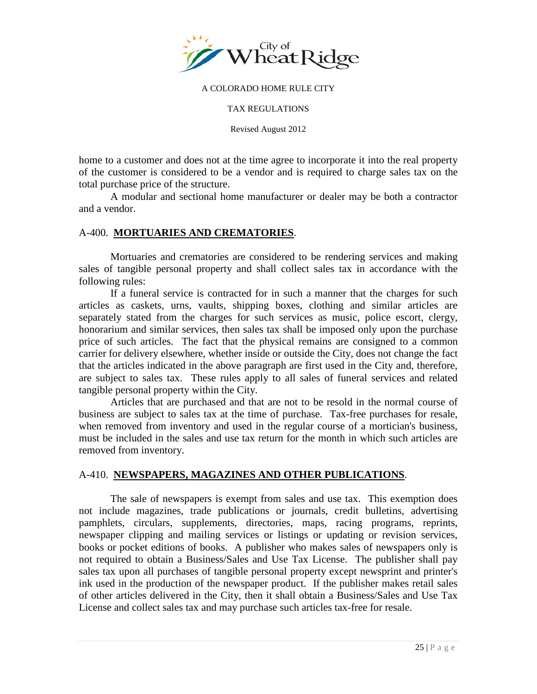

#### TAX REGULATIONS

Revised August 2012

home to a customer and does not at the time agree to incorporate it into the real property of the customer is considered to be a vendor and is required to charge sales tax on the total purchase price of the structure.

A modular and sectional home manufacturer or dealer may be both a contractor and a vendor.

### A-400. **MORTUARIES AND CREMATORIES**.

Mortuaries and crematories are considered to be rendering services and making sales of tangible personal property and shall collect sales tax in accordance with the following rules:

If a funeral service is contracted for in such a manner that the charges for such articles as caskets, urns, vaults, shipping boxes, clothing and similar articles are separately stated from the charges for such services as music, police escort, clergy, honorarium and similar services, then sales tax shall be imposed only upon the purchase price of such articles. The fact that the physical remains are consigned to a common carrier for delivery elsewhere, whether inside or outside the City, does not change the fact that the articles indicated in the above paragraph are first used in the City and, therefore, are subject to sales tax. These rules apply to all sales of funeral services and related tangible personal property within the City.

Articles that are purchased and that are not to be resold in the normal course of business are subject to sales tax at the time of purchase. Tax-free purchases for resale, when removed from inventory and used in the regular course of a mortician's business, must be included in the sales and use tax return for the month in which such articles are removed from inventory.

### A-410. **NEWSPAPERS, MAGAZINES AND OTHER PUBLICATIONS**.

The sale of newspapers is exempt from sales and use tax. This exemption does not include magazines, trade publications or journals, credit bulletins, advertising pamphlets, circulars, supplements, directories, maps, racing programs, reprints, newspaper clipping and mailing services or listings or updating or revision services, books or pocket editions of books. A publisher who makes sales of newspapers only is not required to obtain a Business/Sales and Use Tax License. The publisher shall pay sales tax upon all purchases of tangible personal property except newsprint and printer's ink used in the production of the newspaper product. If the publisher makes retail sales of other articles delivered in the City, then it shall obtain a Business/Sales and Use Tax License and collect sales tax and may purchase such articles tax-free for resale.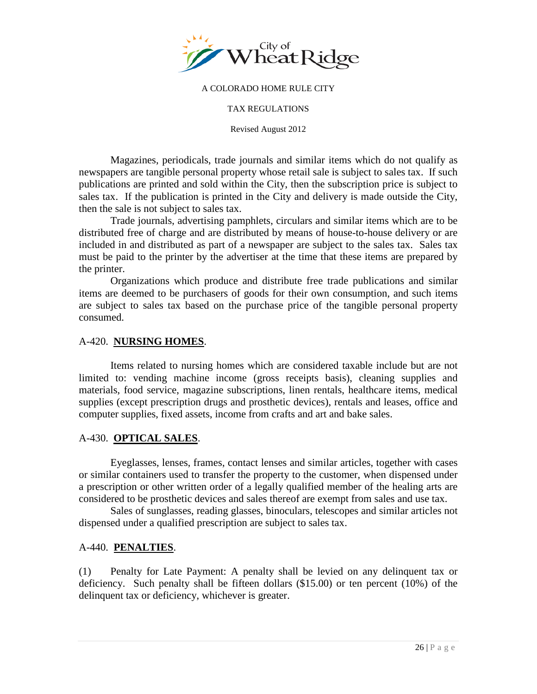

#### TAX REGULATIONS

Revised August 2012

Magazines, periodicals, trade journals and similar items which do not qualify as newspapers are tangible personal property whose retail sale is subject to sales tax. If such publications are printed and sold within the City, then the subscription price is subject to sales tax. If the publication is printed in the City and delivery is made outside the City, then the sale is not subject to sales tax.

Trade journals, advertising pamphlets, circulars and similar items which are to be distributed free of charge and are distributed by means of house-to-house delivery or are included in and distributed as part of a newspaper are subject to the sales tax. Sales tax must be paid to the printer by the advertiser at the time that these items are prepared by the printer.

Organizations which produce and distribute free trade publications and similar items are deemed to be purchasers of goods for their own consumption, and such items are subject to sales tax based on the purchase price of the tangible personal property consumed.

### A-420. **NURSING HOMES**.

Items related to nursing homes which are considered taxable include but are not limited to: vending machine income (gross receipts basis), cleaning supplies and materials, food service, magazine subscriptions, linen rentals, healthcare items, medical supplies (except prescription drugs and prosthetic devices), rentals and leases, office and computer supplies, fixed assets, income from crafts and art and bake sales.

### A-430. **OPTICAL SALES**.

Eyeglasses, lenses, frames, contact lenses and similar articles, together with cases or similar containers used to transfer the property to the customer, when dispensed under a prescription or other written order of a legally qualified member of the healing arts are considered to be prosthetic devices and sales thereof are exempt from sales and use tax.

Sales of sunglasses, reading glasses, binoculars, telescopes and similar articles not dispensed under a qualified prescription are subject to sales tax.

### A-440. **PENALTIES**.

(1) Penalty for Late Payment: A penalty shall be levied on any delinquent tax or deficiency. Such penalty shall be fifteen dollars (\$15.00) or ten percent (10%) of the delinquent tax or deficiency, whichever is greater.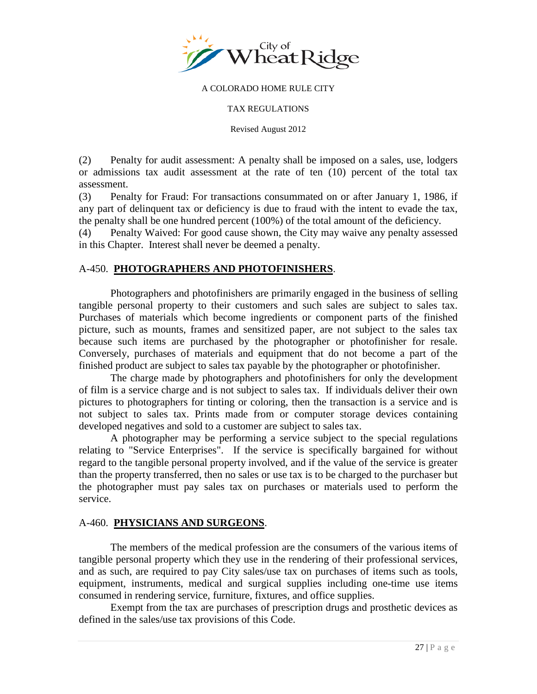

TAX REGULATIONS

Revised August 2012

(2) Penalty for audit assessment: A penalty shall be imposed on a sales, use, lodgers or admissions tax audit assessment at the rate of ten (10) percent of the total tax assessment.

(3) Penalty for Fraud: For transactions consummated on or after January 1, 1986, if any part of delinquent tax or deficiency is due to fraud with the intent to evade the tax, the penalty shall be one hundred percent (100%) of the total amount of the deficiency.

(4) Penalty Waived: For good cause shown, the City may waive any penalty assessed in this Chapter. Interest shall never be deemed a penalty.

## A-450. **PHOTOGRAPHERS AND PHOTOFINISHERS**.

Photographers and photofinishers are primarily engaged in the business of selling tangible personal property to their customers and such sales are subject to sales tax. Purchases of materials which become ingredients or component parts of the finished picture, such as mounts, frames and sensitized paper, are not subject to the sales tax because such items are purchased by the photographer or photofinisher for resale. Conversely, purchases of materials and equipment that do not become a part of the finished product are subject to sales tax payable by the photographer or photofinisher.

The charge made by photographers and photofinishers for only the development of film is a service charge and is not subject to sales tax. If individuals deliver their own pictures to photographers for tinting or coloring, then the transaction is a service and is not subject to sales tax. Prints made from or computer storage devices containing developed negatives and sold to a customer are subject to sales tax.

A photographer may be performing a service subject to the special regulations relating to "Service Enterprises". If the service is specifically bargained for without regard to the tangible personal property involved, and if the value of the service is greater than the property transferred, then no sales or use tax is to be charged to the purchaser but the photographer must pay sales tax on purchases or materials used to perform the service.

### A-460. **PHYSICIANS AND SURGEONS**.

The members of the medical profession are the consumers of the various items of tangible personal property which they use in the rendering of their professional services, and as such, are required to pay City sales/use tax on purchases of items such as tools, equipment, instruments, medical and surgical supplies including one-time use items consumed in rendering service, furniture, fixtures, and office supplies.

Exempt from the tax are purchases of prescription drugs and prosthetic devices as defined in the sales/use tax provisions of this Code.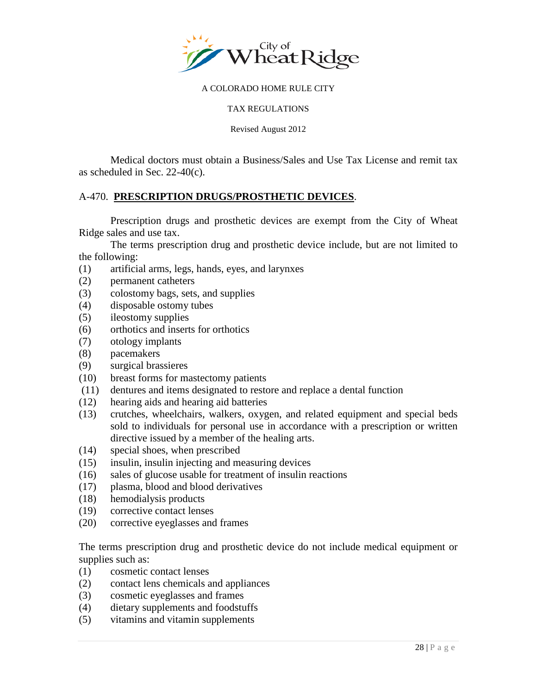

#### TAX REGULATIONS

Revised August 2012

 Medical doctors must obtain a Business/Sales and Use Tax License and remit tax as scheduled in Sec. 22-40(c).

## A-470. **PRESCRIPTION DRUGS/PROSTHETIC DEVICES**.

Prescription drugs and prosthetic devices are exempt from the City of Wheat Ridge sales and use tax.

The terms prescription drug and prosthetic device include, but are not limited to the following:

- (1) artificial arms, legs, hands, eyes, and larynxes
- (2) permanent catheters
- (3) colostomy bags, sets, and supplies
- (4) disposable ostomy tubes
- (5) ileostomy supplies
- (6) orthotics and inserts for orthotics
- (7) otology implants
- (8) pacemakers
- (9) surgical brassieres
- (10) breast forms for mastectomy patients
- (11) dentures and items designated to restore and replace a dental function
- (12) hearing aids and hearing aid batteries
- (13) crutches, wheelchairs, walkers, oxygen, and related equipment and special beds sold to individuals for personal use in accordance with a prescription or written directive issued by a member of the healing arts.
- (14) special shoes, when prescribed
- (15) insulin, insulin injecting and measuring devices
- (16) sales of glucose usable for treatment of insulin reactions
- (17) plasma, blood and blood derivatives
- (18) hemodialysis products
- (19) corrective contact lenses
- (20) corrective eyeglasses and frames

The terms prescription drug and prosthetic device do not include medical equipment or supplies such as:

- (1) cosmetic contact lenses
- (2) contact lens chemicals and appliances
- (3) cosmetic eyeglasses and frames
- (4) dietary supplements and foodstuffs
- (5) vitamins and vitamin supplements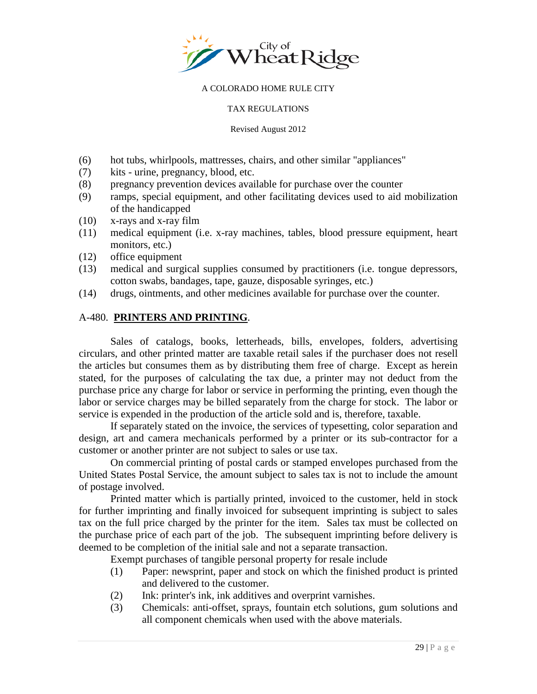

#### TAX REGULATIONS

#### Revised August 2012

- (6) hot tubs, whirlpools, mattresses, chairs, and other similar "appliances"
- (7) kits urine, pregnancy, blood, etc.
- (8) pregnancy prevention devices available for purchase over the counter
- (9) ramps, special equipment, and other facilitating devices used to aid mobilization of the handicapped
- (10) x-rays and x-ray film
- (11) medical equipment (i.e. x-ray machines, tables, blood pressure equipment, heart monitors, etc.)
- (12) office equipment
- (13) medical and surgical supplies consumed by practitioners (i.e. tongue depressors, cotton swabs, bandages, tape, gauze, disposable syringes, etc.)
- (14) drugs, ointments, and other medicines available for purchase over the counter.

### A-480. **PRINTERS AND PRINTING**.

Sales of catalogs, books, letterheads, bills, envelopes, folders, advertising circulars, and other printed matter are taxable retail sales if the purchaser does not resell the articles but consumes them as by distributing them free of charge. Except as herein stated, for the purposes of calculating the tax due, a printer may not deduct from the purchase price any charge for labor or service in performing the printing, even though the labor or service charges may be billed separately from the charge for stock. The labor or service is expended in the production of the article sold and is, therefore, taxable.

If separately stated on the invoice, the services of typesetting, color separation and design, art and camera mechanicals performed by a printer or its sub-contractor for a customer or another printer are not subject to sales or use tax.

On commercial printing of postal cards or stamped envelopes purchased from the United States Postal Service, the amount subject to sales tax is not to include the amount of postage involved.

Printed matter which is partially printed, invoiced to the customer, held in stock for further imprinting and finally invoiced for subsequent imprinting is subject to sales tax on the full price charged by the printer for the item. Sales tax must be collected on the purchase price of each part of the job. The subsequent imprinting before delivery is deemed to be completion of the initial sale and not a separate transaction.

Exempt purchases of tangible personal property for resale include

- (1) Paper: newsprint, paper and stock on which the finished product is printed and delivered to the customer.
- (2) Ink: printer's ink, ink additives and overprint varnishes.
- (3) Chemicals: anti-offset, sprays, fountain etch solutions, gum solutions and all component chemicals when used with the above materials.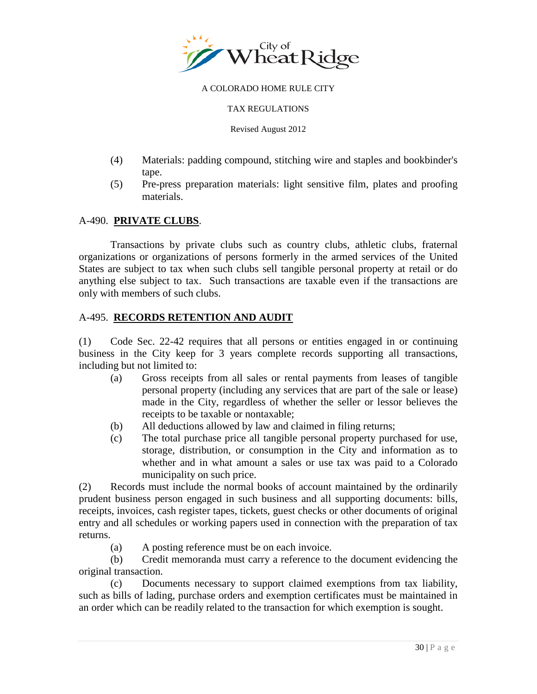

#### TAX REGULATIONS

Revised August 2012

- (4) Materials: padding compound, stitching wire and staples and bookbinder's tape.
- (5) Pre-press preparation materials: light sensitive film, plates and proofing materials.

### A-490. **PRIVATE CLUBS**.

Transactions by private clubs such as country clubs, athletic clubs, fraternal organizations or organizations of persons formerly in the armed services of the United States are subject to tax when such clubs sell tangible personal property at retail or do anything else subject to tax. Such transactions are taxable even if the transactions are only with members of such clubs.

### A-495. **RECORDS RETENTION AND AUDIT**

(1) Code Sec. 22-42 requires that all persons or entities engaged in or continuing business in the City keep for 3 years complete records supporting all transactions, including but not limited to:

- (a) Gross receipts from all sales or rental payments from leases of tangible personal property (including any services that are part of the sale or lease) made in the City, regardless of whether the seller or lessor believes the receipts to be taxable or nontaxable;
- (b) All deductions allowed by law and claimed in filing returns;
- (c) The total purchase price all tangible personal property purchased for use, storage, distribution, or consumption in the City and information as to whether and in what amount a sales or use tax was paid to a Colorado municipality on such price.

(2) Records must include the normal books of account maintained by the ordinarily prudent business person engaged in such business and all supporting documents: bills, receipts, invoices, cash register tapes, tickets, guest checks or other documents of original entry and all schedules or working papers used in connection with the preparation of tax returns.

(a) A posting reference must be on each invoice.

(b) Credit memoranda must carry a reference to the document evidencing the original transaction.

(c) Documents necessary to support claimed exemptions from tax liability, such as bills of lading, purchase orders and exemption certificates must be maintained in an order which can be readily related to the transaction for which exemption is sought.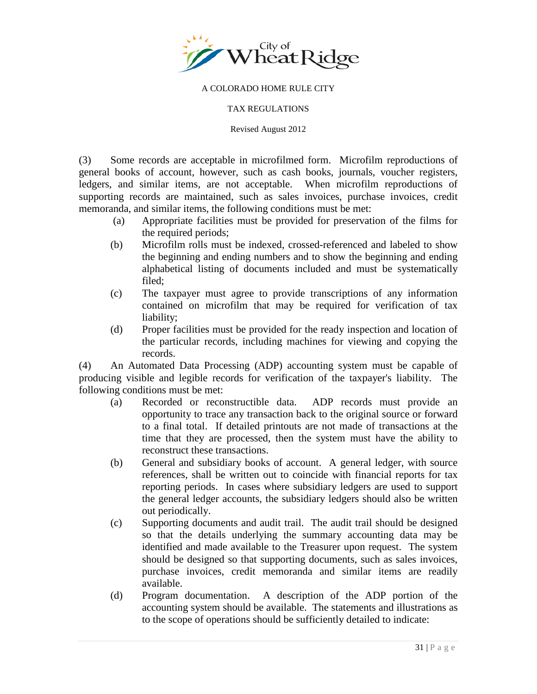

#### TAX REGULATIONS

Revised August 2012

(3) Some records are acceptable in microfilmed form. Microfilm reproductions of general books of account, however, such as cash books, journals, voucher registers, ledgers, and similar items, are not acceptable. When microfilm reproductions of supporting records are maintained, such as sales invoices, purchase invoices, credit memoranda, and similar items, the following conditions must be met:

- (a) Appropriate facilities must be provided for preservation of the films for the required periods;
- (b) Microfilm rolls must be indexed, crossed-referenced and labeled to show the beginning and ending numbers and to show the beginning and ending alphabetical listing of documents included and must be systematically filed;
- (c) The taxpayer must agree to provide transcriptions of any information contained on microfilm that may be required for verification of tax liability;
- (d) Proper facilities must be provided for the ready inspection and location of the particular records, including machines for viewing and copying the records.

(4) An Automated Data Processing (ADP) accounting system must be capable of producing visible and legible records for verification of the taxpayer's liability. The following conditions must be met:

- (a) Recorded or reconstructible data. ADP records must provide an opportunity to trace any transaction back to the original source or forward to a final total. If detailed printouts are not made of transactions at the time that they are processed, then the system must have the ability to reconstruct these transactions.
- (b) General and subsidiary books of account. A general ledger, with source references, shall be written out to coincide with financial reports for tax reporting periods. In cases where subsidiary ledgers are used to support the general ledger accounts, the subsidiary ledgers should also be written out periodically.
- (c) Supporting documents and audit trail. The audit trail should be designed so that the details underlying the summary accounting data may be identified and made available to the Treasurer upon request. The system should be designed so that supporting documents, such as sales invoices, purchase invoices, credit memoranda and similar items are readily available.
- (d) Program documentation. A description of the ADP portion of the accounting system should be available. The statements and illustrations as to the scope of operations should be sufficiently detailed to indicate: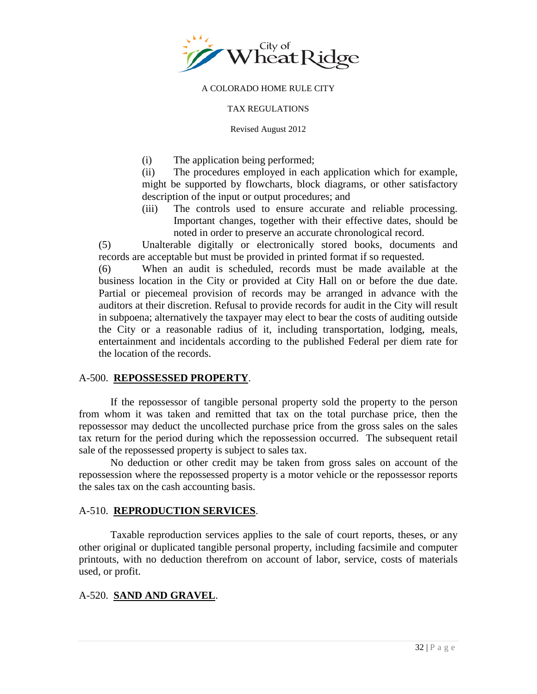

#### TAX REGULATIONS

Revised August 2012

(i) The application being performed;

(ii) The procedures employed in each application which for example, might be supported by flowcharts, block diagrams, or other satisfactory description of the input or output procedures; and

(iii) The controls used to ensure accurate and reliable processing. Important changes, together with their effective dates, should be noted in order to preserve an accurate chronological record.

(5) Unalterable digitally or electronically stored books, documents and records are acceptable but must be provided in printed format if so requested.

(6) When an audit is scheduled, records must be made available at the business location in the City or provided at City Hall on or before the due date. Partial or piecemeal provision of records may be arranged in advance with the auditors at their discretion. Refusal to provide records for audit in the City will result in subpoena; alternatively the taxpayer may elect to bear the costs of auditing outside the City or a reasonable radius of it, including transportation, lodging, meals, entertainment and incidentals according to the published Federal per diem rate for the location of the records.

### A-500. **REPOSSESSED PROPERTY**.

If the repossessor of tangible personal property sold the property to the person from whom it was taken and remitted that tax on the total purchase price, then the repossessor may deduct the uncollected purchase price from the gross sales on the sales tax return for the period during which the repossession occurred. The subsequent retail sale of the repossessed property is subject to sales tax.

No deduction or other credit may be taken from gross sales on account of the repossession where the repossessed property is a motor vehicle or the repossessor reports the sales tax on the cash accounting basis.

### A-510. **REPRODUCTION SERVICES**.

Taxable reproduction services applies to the sale of court reports, theses, or any other original or duplicated tangible personal property, including facsimile and computer printouts, with no deduction therefrom on account of labor, service, costs of materials used, or profit.

### A-520. **SAND AND GRAVEL**.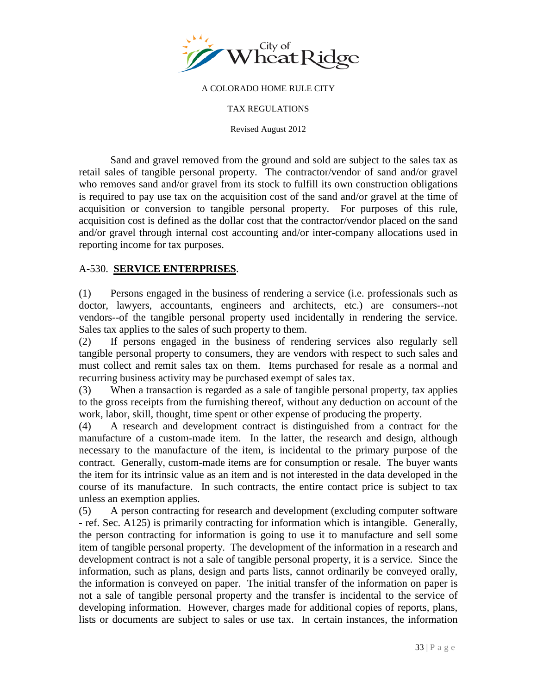

TAX REGULATIONS

Revised August 2012

Sand and gravel removed from the ground and sold are subject to the sales tax as retail sales of tangible personal property. The contractor/vendor of sand and/or gravel who removes sand and/or gravel from its stock to fulfill its own construction obligations is required to pay use tax on the acquisition cost of the sand and/or gravel at the time of acquisition or conversion to tangible personal property. For purposes of this rule, acquisition cost is defined as the dollar cost that the contractor/vendor placed on the sand and/or gravel through internal cost accounting and/or inter-company allocations used in reporting income for tax purposes.

## A-530. **SERVICE ENTERPRISES**.

(1) Persons engaged in the business of rendering a service (i.e. professionals such as doctor, lawyers, accountants, engineers and architects, etc.) are consumers--not vendors--of the tangible personal property used incidentally in rendering the service. Sales tax applies to the sales of such property to them.

(2) If persons engaged in the business of rendering services also regularly sell tangible personal property to consumers, they are vendors with respect to such sales and must collect and remit sales tax on them. Items purchased for resale as a normal and recurring business activity may be purchased exempt of sales tax.

(3) When a transaction is regarded as a sale of tangible personal property, tax applies to the gross receipts from the furnishing thereof, without any deduction on account of the work, labor, skill, thought, time spent or other expense of producing the property.

(4) A research and development contract is distinguished from a contract for the manufacture of a custom-made item. In the latter, the research and design, although necessary to the manufacture of the item, is incidental to the primary purpose of the contract. Generally, custom-made items are for consumption or resale. The buyer wants the item for its intrinsic value as an item and is not interested in the data developed in the course of its manufacture. In such contracts, the entire contact price is subject to tax unless an exemption applies.

(5) A person contracting for research and development (excluding computer software - ref. Sec. A125) is primarily contracting for information which is intangible. Generally, the person contracting for information is going to use it to manufacture and sell some item of tangible personal property. The development of the information in a research and development contract is not a sale of tangible personal property, it is a service. Since the information, such as plans, design and parts lists, cannot ordinarily be conveyed orally, the information is conveyed on paper. The initial transfer of the information on paper is not a sale of tangible personal property and the transfer is incidental to the service of developing information. However, charges made for additional copies of reports, plans, lists or documents are subject to sales or use tax. In certain instances, the information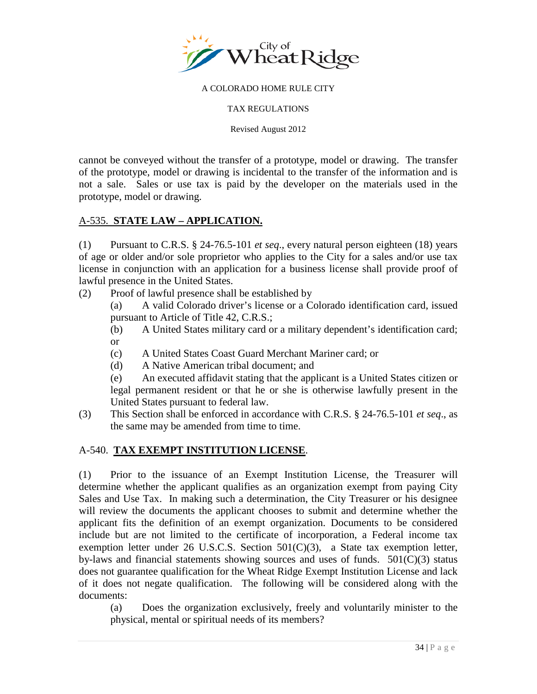

TAX REGULATIONS

Revised August 2012

cannot be conveyed without the transfer of a prototype, model or drawing. The transfer of the prototype, model or drawing is incidental to the transfer of the information and is not a sale. Sales or use tax is paid by the developer on the materials used in the prototype, model or drawing.

## A-535. **STATE LAW – APPLICATION.**

(1) Pursuant to C.R.S. § 24-76.5-101 *et seq*., every natural person eighteen (18) years of age or older and/or sole proprietor who applies to the City for a sales and/or use tax license in conjunction with an application for a business license shall provide proof of lawful presence in the United States.

(2) Proof of lawful presence shall be established by

(a) A valid Colorado driver's license or a Colorado identification card, issued pursuant to Article of Title 42, C.R.S.;

(b) A United States military card or a military dependent's identification card; or

- (c) A United States Coast Guard Merchant Mariner card; or
- (d) A Native American tribal document; and

(e) An executed affidavit stating that the applicant is a United States citizen or legal permanent resident or that he or she is otherwise lawfully present in the United States pursuant to federal law.

(3) This Section shall be enforced in accordance with C.R.S. § 24-76.5-101 *et seq*., as the same may be amended from time to time.

### A-540. **TAX EXEMPT INSTITUTION LICENSE**.

(1) Prior to the issuance of an Exempt Institution License, the Treasurer will determine whether the applicant qualifies as an organization exempt from paying City Sales and Use Tax. In making such a determination, the City Treasurer or his designee will review the documents the applicant chooses to submit and determine whether the applicant fits the definition of an exempt organization. Documents to be considered include but are not limited to the certificate of incorporation, a Federal income tax exemption letter under 26 U.S.C.S. Section  $501(C)(3)$ , a State tax exemption letter, by-laws and financial statements showing sources and uses of funds.  $501(C)(3)$  status does not guarantee qualification for the Wheat Ridge Exempt Institution License and lack of it does not negate qualification. The following will be considered along with the documents:

(a) Does the organization exclusively, freely and voluntarily minister to the physical, mental or spiritual needs of its members?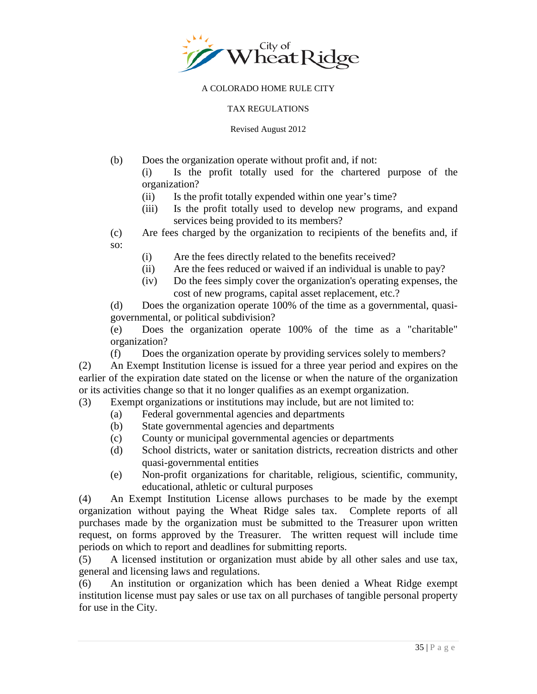

#### TAX REGULATIONS

#### Revised August 2012

- (b) Does the organization operate without profit and, if not: (i) Is the profit totally used for the chartered purpose of the organization?
	- (ii) Is the profit totally expended within one year's time?
	- (iii) Is the profit totally used to develop new programs, and expand services being provided to its members?
- (c) Are fees charged by the organization to recipients of the benefits and, if so:
	- (i) Are the fees directly related to the benefits received?
	- (ii) Are the fees reduced or waived if an individual is unable to pay?
	- (iv) Do the fees simply cover the organization's operating expenses, the cost of new programs, capital asset replacement, etc.?

(d) Does the organization operate 100% of the time as a governmental, quasigovernmental, or political subdivision?

(e) Does the organization operate 100% of the time as a "charitable" organization?

(f) Does the organization operate by providing services solely to members?

(2) An Exempt Institution license is issued for a three year period and expires on the earlier of the expiration date stated on the license or when the nature of the organization or its activities change so that it no longer qualifies as an exempt organization.

- (3) Exempt organizations or institutions may include, but are not limited to:
	- (a) Federal governmental agencies and departments
	- (b) State governmental agencies and departments
	- (c) County or municipal governmental agencies or departments
	- (d) School districts, water or sanitation districts, recreation districts and other quasi-governmental entities
	- (e) Non-profit organizations for charitable, religious, scientific, community, educational, athletic or cultural purposes

(4) An Exempt Institution License allows purchases to be made by the exempt organization without paying the Wheat Ridge sales tax. Complete reports of all purchases made by the organization must be submitted to the Treasurer upon written request, on forms approved by the Treasurer. The written request will include time periods on which to report and deadlines for submitting reports.

(5) A licensed institution or organization must abide by all other sales and use tax, general and licensing laws and regulations.

(6) An institution or organization which has been denied a Wheat Ridge exempt institution license must pay sales or use tax on all purchases of tangible personal property for use in the City.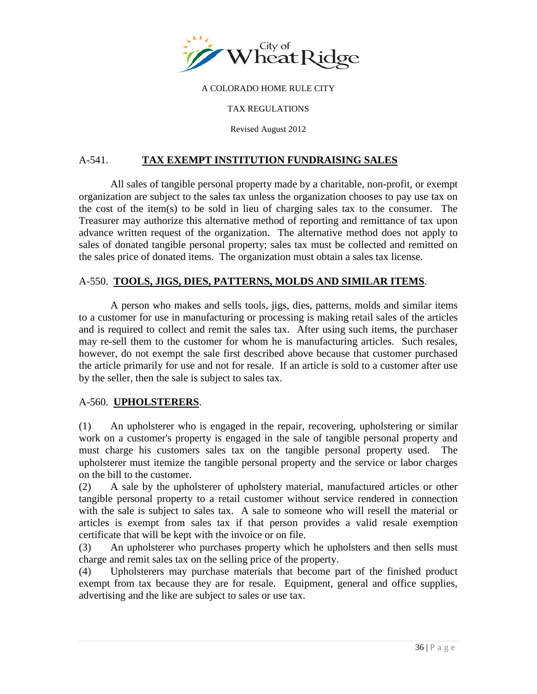

#### TAX REGULATIONS

Revised August 2012

## A-541. **TAX EXEMPT INSTITUTION FUNDRAISING SALES**

 All sales of tangible personal property made by a charitable, non-profit, or exempt organization are subject to the sales tax unless the organization chooses to pay use tax on the cost of the item(s) to be sold in lieu of charging sales tax to the consumer. The Treasurer may authorize this alternative method of reporting and remittance of tax upon advance written request of the organization. The alternative method does not apply to sales of donated tangible personal property; sales tax must be collected and remitted on the sales price of donated items. The organization must obtain a sales tax license.

### A-550. **TOOLS, JIGS, DIES, PATTERNS, MOLDS AND SIMILAR ITEMS**.

A person who makes and sells tools, jigs, dies, patterns, molds and similar items to a customer for use in manufacturing or processing is making retail sales of the articles and is required to collect and remit the sales tax. After using such items, the purchaser may re-sell them to the customer for whom he is manufacturing articles. Such resales, however, do not exempt the sale first described above because that customer purchased the article primarily for use and not for resale. If an article is sold to a customer after use by the seller, then the sale is subject to sales tax.

### A-560. **UPHOLSTERERS**.

(1) An upholsterer who is engaged in the repair, recovering, upholstering or similar work on a customer's property is engaged in the sale of tangible personal property and must charge his customers sales tax on the tangible personal property used. The upholsterer must itemize the tangible personal property and the service or labor charges on the bill to the customer.

(2) A sale by the upholsterer of upholstery material, manufactured articles or other tangible personal property to a retail customer without service rendered in connection with the sale is subject to sales tax. A sale to someone who will resell the material or articles is exempt from sales tax if that person provides a valid resale exemption certificate that will be kept with the invoice or on file.

(3) An upholsterer who purchases property which he upholsters and then sells must charge and remit sales tax on the selling price of the property.

(4) Upholsterers may purchase materials that become part of the finished product exempt from tax because they are for resale. Equipment, general and office supplies, advertising and the like are subject to sales or use tax.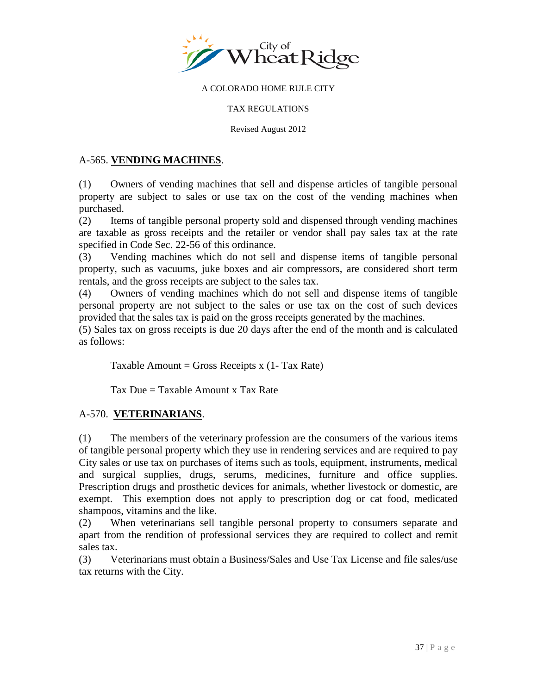

### TAX REGULATIONS

Revised August 2012

## A-565. **VENDING MACHINES**.

(1) Owners of vending machines that sell and dispense articles of tangible personal property are subject to sales or use tax on the cost of the vending machines when purchased.

(2) Items of tangible personal property sold and dispensed through vending machines are taxable as gross receipts and the retailer or vendor shall pay sales tax at the rate specified in Code Sec. 22-56 of this ordinance.

(3) Vending machines which do not sell and dispense items of tangible personal property, such as vacuums, juke boxes and air compressors, are considered short term rentals, and the gross receipts are subject to the sales tax.

(4) Owners of vending machines which do not sell and dispense items of tangible personal property are not subject to the sales or use tax on the cost of such devices provided that the sales tax is paid on the gross receipts generated by the machines.

(5) Sales tax on gross receipts is due 20 days after the end of the month and is calculated as follows:

Taxable Amount = Gross Receipts  $x(1-Tax Rate)$ 

Tax Due = Taxable Amount x Tax Rate

## A-570. **VETERINARIANS**.

(1) The members of the veterinary profession are the consumers of the various items of tangible personal property which they use in rendering services and are required to pay City sales or use tax on purchases of items such as tools, equipment, instruments, medical and surgical supplies, drugs, serums, medicines, furniture and office supplies. Prescription drugs and prosthetic devices for animals, whether livestock or domestic, are exempt. This exemption does not apply to prescription dog or cat food, medicated shampoos, vitamins and the like.

(2) When veterinarians sell tangible personal property to consumers separate and apart from the rendition of professional services they are required to collect and remit sales tax.

(3) Veterinarians must obtain a Business/Sales and Use Tax License and file sales/use tax returns with the City.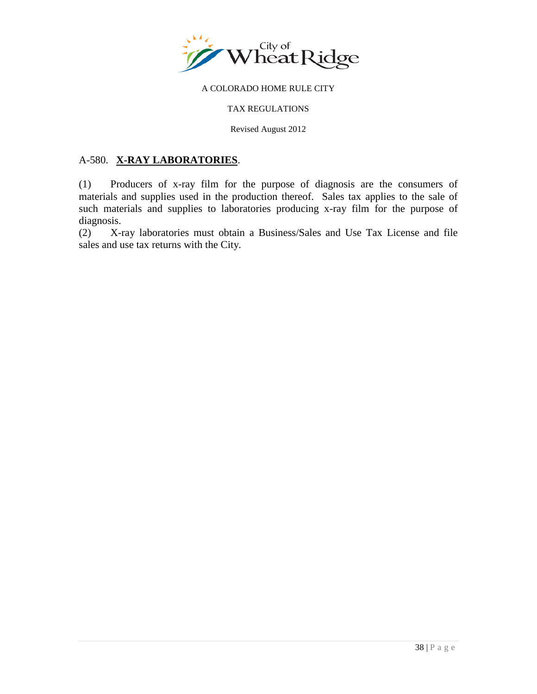

#### TAX REGULATIONS

Revised August 2012

## A-580. **X-RAY LABORATORIES**.

(1) Producers of x-ray film for the purpose of diagnosis are the consumers of materials and supplies used in the production thereof. Sales tax applies to the sale of such materials and supplies to laboratories producing x-ray film for the purpose of diagnosis.

(2) X-ray laboratories must obtain a Business/Sales and Use Tax License and file sales and use tax returns with the City.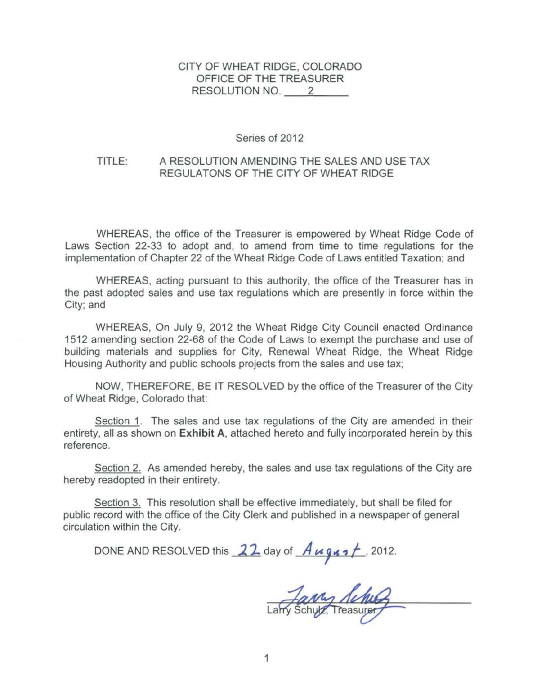## CITY OF WHEAT RIDGE, COLORADO OFFICE OF THE TREASURER RESOLUTION NO. 2

### Series of 2012

#### TITLE: A RESOLUTION AMENDING THE SALES AND USE TAX REGULATONS OF THE CITY OF WHEAT RIDGE

WHEREAS, the office of the Treasurer is empowered by Wheat Ridge Code of Laws Section 22-33 to adopt and, to amend from time to time regulations for the implementation of Chapter 22 of the Wheat Ridge Code of Laws entitled Taxation; and

WHEREAS, acting pursuant to this authority, the office of the Treasurer has in the past adopted sales and use tax regulations which are presently in force within the City; and

WHEREAS, On July 9, 2012 the Wheat Ridge City Council enacted Ordinance 1512 amending section 22-68 of the Code of Laws to exempt the purchase and use of building materials and supplies for City, Renewal Wheat Ridge, the Wheat Ridge Housing Authority and public schools projects from the sales and use tax;

NOW, THEREFORE, BE IT RESOLVED by the office of the Treasurer of the City of Wheat Ridge, Colorado that:

Section 1. The sales and use tax regulations of the City are amended in their entirety, all as shown on **Exhibit A**, attached hereto and fully incorporated herein by this reference.

Section 2. As amended hereby, the sales and use tax regulations of the City are hereby readopted in their entirety.

Section 3. This resolution shall be effective immediately, but shall be filed for public record with the office of the City Clerk and published in a newspaper of general circulation within the City.

DONE AND RESOLVED this  $22$  day of  $\frac{1}{4}$   $\frac{1}{4}$ , 2012.

Larry Schutz, Treasurer